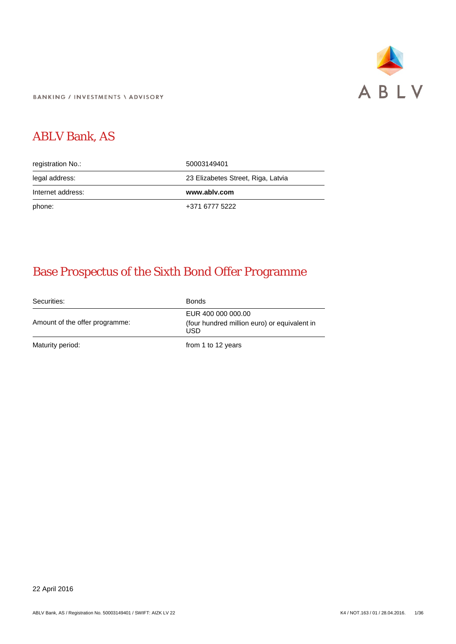

**BANKING / INVESTMENTS \ ADVISORY** 

# ABLV Bank, AS

| registration No.: | 50003149401                        |
|-------------------|------------------------------------|
| legal address:    | 23 Elizabetes Street, Riga, Latvia |
|                   |                                    |
| Internet address: | www.ablv.com                       |

# Base Prospectus of the Sixth Bond Offer Programme

Securities: Bonds Amount of the offer programme: EUR 400 000 000.00 (four hundred million euro) or equivalent in USD Maturity period: Maturity period: The Maturity period: The Maturity period: The Maturity period: The Maturity period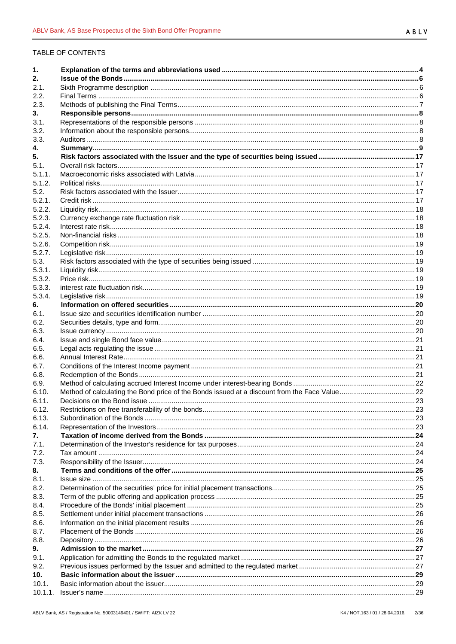# TABLE OF CONTENTS

| 1.          |  |
|-------------|--|
| 2.          |  |
| 2.1.        |  |
| 2.2.        |  |
| 2.3.        |  |
| 3.          |  |
| 3.1.        |  |
| 3.2.        |  |
| 3.3.        |  |
| 4.          |  |
| 5.          |  |
| 5.1.        |  |
| 5.1.1.      |  |
| 5.1.2.      |  |
| 5.2.        |  |
| 5.2.1.      |  |
| 5.2.2.      |  |
| 5.2.3.      |  |
| 5.2.4.      |  |
| 5.2.5.      |  |
| 5.2.6.      |  |
| 5.2.7.      |  |
| 5.3.        |  |
| 5.3.1.      |  |
| 5.3.2.      |  |
| 5.3.3.      |  |
| 5.3.4.      |  |
| 6.<br>6.1.  |  |
| 6.2.        |  |
| 6.3.        |  |
| 6.4.        |  |
| 6.5.        |  |
| 6.6.        |  |
| 6.7.        |  |
| 6.8.        |  |
| 6.9.        |  |
| 6.10.       |  |
| 6.11.       |  |
| 6.12.       |  |
| 6.13.       |  |
| 6.14.       |  |
| 7.          |  |
| 7.1.        |  |
| 7.2.        |  |
| 7.3.        |  |
| 8.          |  |
| 8.1.        |  |
| 8.2.        |  |
| 8.3.        |  |
| 8.4.        |  |
| 8.5.        |  |
| 8.6.        |  |
| 8.7.        |  |
| 8.8.        |  |
| 9.          |  |
| 9.1.        |  |
| 9.2.<br>10. |  |
| 10.1.       |  |
| 10.1.1.     |  |
|             |  |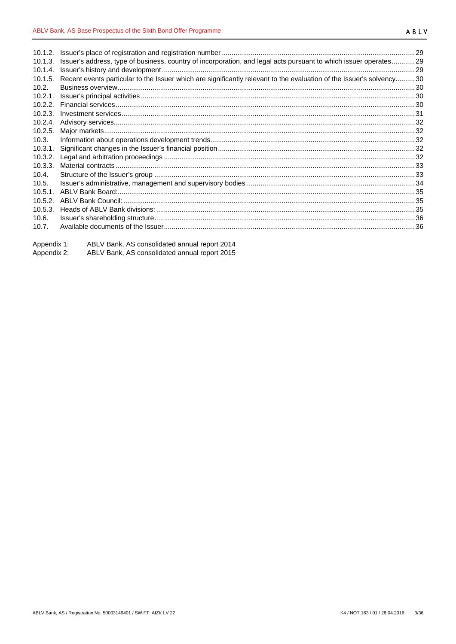| 10.1.3.    | Issuer's address, type of business, country of incorporation, and legal acts pursuant to which issuer operates 29     |     |
|------------|-----------------------------------------------------------------------------------------------------------------------|-----|
| 10.1.4.    |                                                                                                                       |     |
| 10.1.5.    | Recent events particular to the Issuer which are significantly relevant to the evaluation of the Issuer's solvency 30 |     |
| 10.2.      |                                                                                                                       |     |
| $10.2.1$ . |                                                                                                                       |     |
| 10.2.2.    |                                                                                                                       |     |
| 10.2.3.    |                                                                                                                       |     |
| 10.2.4.    |                                                                                                                       |     |
| 10.2.5.    |                                                                                                                       |     |
| 10.3.      |                                                                                                                       |     |
| 10.3.1.    |                                                                                                                       |     |
| 10.3.2.    |                                                                                                                       |     |
| 10.3.3.    |                                                                                                                       |     |
| 10.4.      |                                                                                                                       |     |
| 10.5.      |                                                                                                                       |     |
| $10.5.1$ . |                                                                                                                       |     |
| 10.5.2.    |                                                                                                                       |     |
| 10.5.3.    |                                                                                                                       |     |
| 10.6.      |                                                                                                                       |     |
| 10.7.      |                                                                                                                       | .36 |
|            |                                                                                                                       |     |

| Appendix 1: | ABLV Bank, AS consolidated annual report 2014 |
|-------------|-----------------------------------------------|
| Appendix 2: | ABLV Bank, AS consolidated annual report 2015 |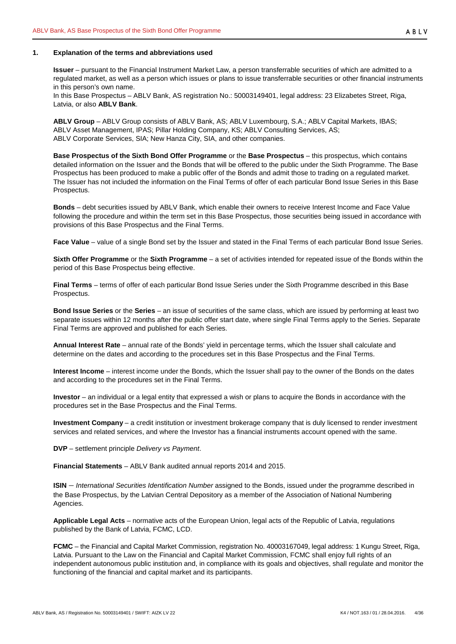## <span id="page-3-0"></span>**1. Explanation of the terms and abbreviations used**

**Issuer** – pursuant to the Financial Instrument Market Law, a person transferrable securities of which are admitted to a regulated market, as well as a person which issues or plans to issue transferrable securities or other financial instruments in this person's own name.

In this Base Prospectus – ABLV Bank, AS registration No.: 50003149401, legal address: 23 Elizabetes Street, Riga, Latvia, or also **ABLV Bank**.

**ABLV Group** – ABLV Group consists of ABLV Bank, AS; ABLV Luxembourg, S.A.; ABLV Capital Markets, IBAS; ABLV Asset Management, IPAS; Pillar Holding Company, KS; ABLV Consulting Services, AS; ABLV Corporate Services, SIA; New Hanza City, SIA, and other companies.

**Base Prospectus of the Sixth Bond Offer Programme** or the **Base Prospectus** – this prospectus, which contains detailed information on the Issuer and the Bonds that will be offered to the public under the Sixth Programme. The Base Prospectus has been produced to make a public offer of the Bonds and admit those to trading on a regulated market. The Issuer has not included the information on the Final Terms of offer of each particular Bond Issue Series in this Base Prospectus.

**Bonds** – debt securities issued by ABLV Bank, which enable their owners to receive Interest Income and Face Value following the procedure and within the term set in this Base Prospectus, those securities being issued in accordance with provisions of this Base Prospectus and the Final Terms.

**Face Value** – value of a single Bond set by the Issuer and stated in the Final Terms of each particular Bond Issue Series.

**Sixth Offer Programme** or the **Sixth Programme** – a set of activities intended for repeated issue of the Bonds within the period of this Base Prospectus being effective.

**Final Terms** – terms of offer of each particular Bond Issue Series under the Sixth Programme described in this Base Prospectus.

**Bond Issue Series** or the **Series** – an issue of securities of the same class, which are issued by performing at least two separate issues within 12 months after the public offer start date, where single Final Terms apply to the Series. Separate Final Terms are approved and published for each Series.

**Annual Interest Rate** – annual rate of the Bonds' yield in percentage terms, which the Issuer shall calculate and determine on the dates and according to the procedures set in this Base Prospectus and the Final Terms.

**Interest Income** – interest income under the Bonds, which the Issuer shall pay to the owner of the Bonds on the dates and according to the procedures set in the Final Terms.

**Investor** – an individual or a legal entity that expressed a wish or plans to acquire the Bonds in accordance with the procedures set in the Base Prospectus and the Final Terms.

**Investment Company** – a credit institution or investment brokerage company that is duly licensed to render investment services and related services, and where the Investor has a financial instruments account opened with the same.

**DVP** – settlement principle *Delivery vs Payment*.

**Financial Statements** – ABLV Bank audited annual reports 2014 and 2015.

**ISIN** – *International Securities Identification Number* assigned to the Bonds, issued under the programme described in the Base Prospectus, by the Latvian Central Depository as a member of the Association of National Numbering Agencies.

**Applicable Legal Acts** – normative acts of the European Union, legal acts of the Republic of Latvia, regulations published by the Bank of Latvia, FCMC, LCD.

**FCMC** – the Financial and Capital Market Commission, registration No. 40003167049, legal address: 1 Kungu Street, Riga, Latvia. Pursuant to the Law on the Financial and Capital Market Commission, FCMC shall enjoy full rights of an independent autonomous public institution and, in compliance with its goals and objectives, shall regulate and monitor the functioning of the financial and capital market and its participants.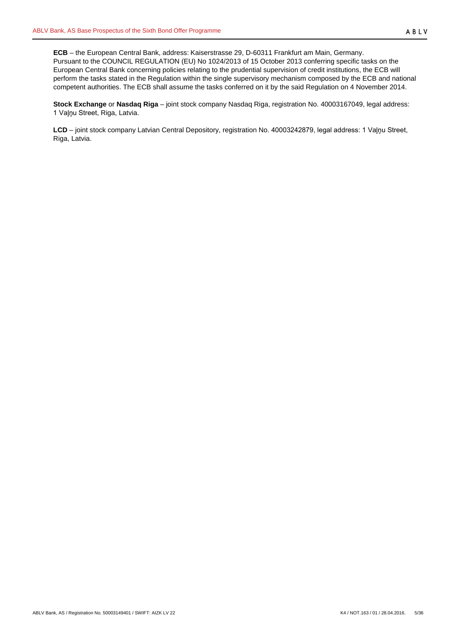**ECB** – the European Central Bank, address: Kaiserstrasse 29, D-60311 Frankfurt am Main, Germany. Pursuant to the COUNCIL REGULATION (EU) No 1024/2013 of 15 October 2013 conferring specific tasks on the European Central Bank concerning policies relating to the prudential supervision of credit institutions, the ECB will perform the tasks stated in the Regulation within the single supervisory mechanism composed by the ECB and national competent authorities. The ECB shall assume the tasks conferred on it by the said Regulation on 4 November 2014.

**Stock Exchange** or **Nasdaq Riga** – joint stock company Nasdaq Riga, registration No. 40003167049, legal address: 1 Vaļņu Street, Riga, Latvia.

**LCD** – joint stock company Latvian Central Depository, registration No. 40003242879, legal address: 1 Vaļņu Street, Riga, Latvia.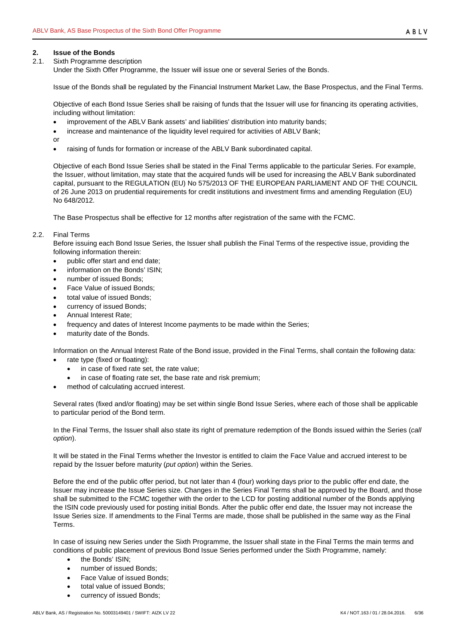# <span id="page-5-0"></span>**2. Issue of the Bonds**

<span id="page-5-1"></span>2.1. Sixth Programme description

Under the Sixth Offer Programme, the Issuer will issue one or several Series of the Bonds.

Issue of the Bonds shall be regulated by the Financial Instrument Market Law, the Base Prospectus, and the Final Terms.

Objective of each Bond Issue Series shall be raising of funds that the Issuer will use for financing its operating activities, including without limitation:

- improvement of the ABLV Bank assets' and liabilities' distribution into maturity bands;
- increase and maintenance of the liquidity level required for activities of ABLV Bank;
- or
- raising of funds for formation or increase of the ABLV Bank subordinated capital.

Objective of each Bond Issue Series shall be stated in the Final Terms applicable to the particular Series. For example, the Issuer, without limitation, may state that the acquired funds will be used for increasing the ABLV Bank subordinated capital, pursuant to the REGULATION (EU) No 575/2013 OF THE EUROPEAN PARLIAMENT AND OF THE COUNCIL of 26 June 2013 on prudential requirements for credit institutions and investment firms and amending Regulation (EU) No 648/2012.

The Base Prospectus shall be effective for 12 months after registration of the same with the FCMC.

## <span id="page-5-2"></span>2.2. Final Terms

Before issuing each Bond Issue Series, the Issuer shall publish the Final Terms of the respective issue, providing the following information therein:

- public offer start and end date;
- information on the Bonds' ISIN;
- number of issued Bonds;
- Face Value of issued Bonds;
- total value of issued Bonds;
- currency of issued Bonds;
- Annual Interest Rate;
- frequency and dates of Interest Income payments to be made within the Series;
- maturity date of the Bonds.

Information on the Annual Interest Rate of the Bond issue, provided in the Final Terms, shall contain the following data:

- rate type (fixed or floating):
	- in case of fixed rate set, the rate value;
	- in case of floating rate set, the base rate and risk premium;
- method of calculating accrued interest.

Several rates (fixed and/or floating) may be set within single Bond Issue Series, where each of those shall be applicable to particular period of the Bond term.

In the Final Terms, the Issuer shall also state its right of premature redemption of the Bonds issued within the Series (*call option*).

It will be stated in the Final Terms whether the Investor is entitled to claim the Face Value and accrued interest to be repaid by the Issuer before maturity (*put option*) within the Series.

Before the end of the public offer period, but not later than 4 (four) working days prior to the public offer end date, the Issuer may increase the Issue Series size. Changes in the Series Final Terms shall be approved by the Board, and those shall be submitted to the FCMC together with the order to the LCD for posting additional number of the Bonds applying the ISIN code previously used for posting initial Bonds. After the public offer end date, the Issuer may not increase the Issue Series size. If amendments to the Final Terms are made, those shall be published in the same way as the Final Terms.

In case of issuing new Series under the Sixth Programme, the Issuer shall state in the Final Terms the main terms and conditions of public placement of previous Bond Issue Series performed under the Sixth Programme, namely:

- the Bonds' ISIN;
- number of issued Bonds;
- Face Value of issued Bonds;
- total value of issued Bonds;
- currency of issued Bonds;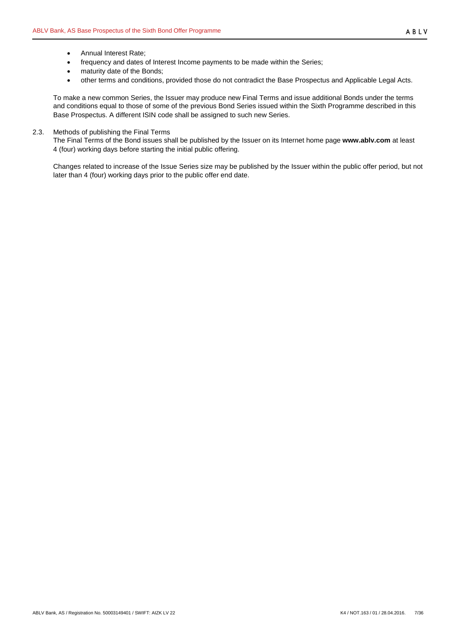- Annual Interest Rate;
- frequency and dates of Interest Income payments to be made within the Series;
- maturity date of the Bonds;
- other terms and conditions, provided those do not contradict the Base Prospectus and Applicable Legal Acts.

To make a new common Series, the Issuer may produce new Final Terms and issue additional Bonds under the terms and conditions equal to those of some of the previous Bond Series issued within the Sixth Programme described in this Base Prospectus. A different ISIN code shall be assigned to such new Series.

## <span id="page-6-0"></span>2.3. Methods of publishing the Final Terms

The Final Terms of the Bond issues shall be published by the Issuer on its Internet home page **www.ablv.com** at least 4 (four) working days before starting the initial public offering.

Changes related to increase of the Issue Series size may be published by the Issuer within the public offer period, but not later than 4 (four) working days prior to the public offer end date.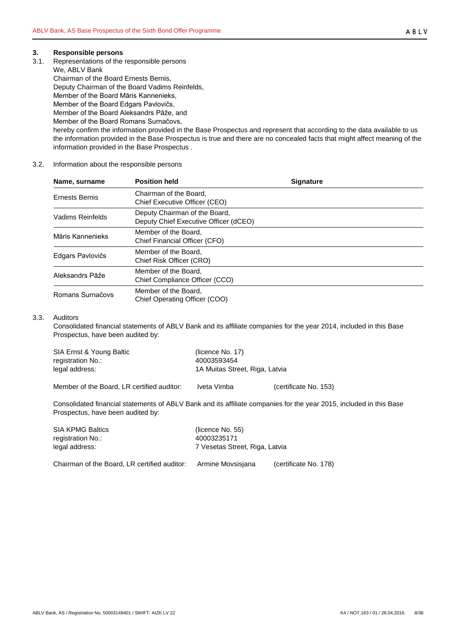## <span id="page-7-0"></span>**3. Responsible persons**

<span id="page-7-1"></span>3.1. Representations of the responsible persons

We, ABLV Bank Chairman of the Board Ernests Bernis, Deputy Chairman of the Board Vadims Reinfelds, Member of the Board Māris Kannenieks, Member of the Board Edgars Pavlovičs, Member of the Board Aleksandrs Pāže, and Member of the Board Romans Surnačovs, hereby confirm the information provided in the Base Prospectus and represent that according to the data available to us the information provided in the Base Prospectus is true and there are no concealed facts that might affect meaning of the information provided in the Base Prospectus .

## <span id="page-7-2"></span>3.2. Information about the responsible persons

| Name, surname         | <b>Position held</b>                                                   | <b>Signature</b> |
|-----------------------|------------------------------------------------------------------------|------------------|
| <b>Ernests Bernis</b> | Chairman of the Board,<br>Chief Executive Officer (CEO)                |                  |
| Vadims Reinfelds      | Deputy Chairman of the Board,<br>Deputy Chief Executive Officer (dCEO) |                  |
| Māris Kannenieks      | Member of the Board.<br>Chief Financial Officer (CFO)                  |                  |
| Edgars Pavlovičs      | Member of the Board.<br>Chief Risk Officer (CRO)                       |                  |
| Aleksandrs Pāže       | Member of the Board.<br>Chief Compliance Officer (CCO)                 |                  |
| Romans Surnačovs      | Member of the Board,<br>Chief Operating Officer (COO)                  |                  |

#### <span id="page-7-3"></span>3.3. Auditors

Consolidated financial statements of ABLV Bank and its affiliate companies for the year 2014, included in this Base Prospectus, have been audited by:

| SIA Ernst & Young Baltic                   | (licence No. 17)               |                       |  |
|--------------------------------------------|--------------------------------|-----------------------|--|
| registration No.:                          | 40003593454                    |                       |  |
| legal address:                             | 1A Muitas Street, Riga, Latvia |                       |  |
| Member of the Board, LR certified auditor: | Iveta Vimba                    | (certificate No. 153) |  |

Consolidated financial statements of ABLV Bank and its affiliate companies for the year 2015, included in this Base Prospectus, have been audited by:

| <b>SIA KPMG Baltics</b>                      | (licence No. 55)               |                       |  |  |
|----------------------------------------------|--------------------------------|-----------------------|--|--|
| registration No.:                            | 40003235171                    |                       |  |  |
| legal address:                               | 7 Vesetas Street, Riga, Latvia |                       |  |  |
| Chairman of the Board, LR certified auditor: | Armine Movsisiana              | (certificate No. 178) |  |  |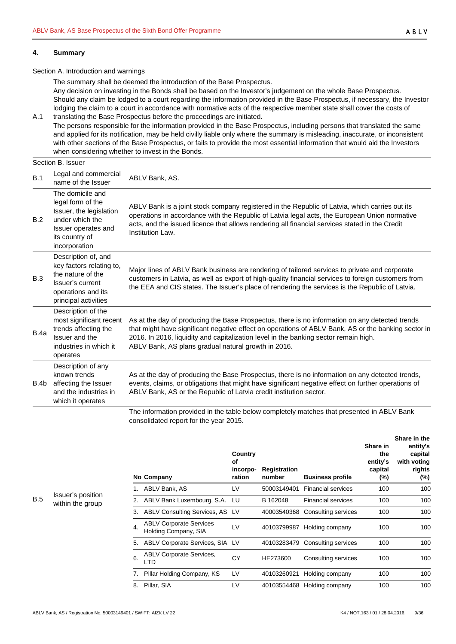#### <span id="page-8-0"></span>**4. Summary**

#### Section A. Introduction and warnings

The summary shall be deemed the introduction of the Base Prospectus. Any decision on investing in the Bonds shall be based on the Investor's judgement on the whole Base Prospectus. Should any claim be lodged to a court regarding the information provided in the Base Prospectus, if necessary, the Investor lodging the claim to a court in accordance with normative acts of the respective member state shall cover the costs of

A.1 translating the Base Prospectus before the proceedings are initiated. The persons responsible for the information provided in the Base Prospectus, including persons that translated the same and applied for its notification, may be held civilly liable only where the summary is misleading, inaccurate, or inconsistent with other sections of the Base Prospectus, or fails to provide the most essential information that would aid the Investors when considering whether to invest in the Bonds.

# Section B. Issuer

| B.1  | Legal and commercial<br>name of the Issuer                                                                                                    | ABLV Bank, AS.                                                                                                                                                                                                                                                                                                                                       |
|------|-----------------------------------------------------------------------------------------------------------------------------------------------|------------------------------------------------------------------------------------------------------------------------------------------------------------------------------------------------------------------------------------------------------------------------------------------------------------------------------------------------------|
| B.2  | The domicile and<br>legal form of the<br>Issuer, the legislation<br>under which the<br>Issuer operates and<br>its country of<br>incorporation | ABLV Bank is a joint stock company registered in the Republic of Latvia, which carries out its<br>operations in accordance with the Republic of Latvia legal acts, the European Union normative<br>acts, and the issued licence that allows rendering all financial services stated in the Credit<br>Institution Law.                                |
| B.3  | Description of, and<br>key factors relating to,<br>the nature of the<br>Issuer's current<br>operations and its<br>principal activities        | Major lines of ABLV Bank business are rendering of tailored services to private and corporate<br>customers in Latvia, as well as export of high-quality financial services to foreign customers from<br>the EEA and CIS states. The Issuer's place of rendering the services is the Republic of Latvia.                                              |
| B.4a | Description of the<br>most significant recent<br>trends affecting the<br>Issuer and the<br>industries in which it<br>operates                 | As at the day of producing the Base Prospectus, there is no information on any detected trends<br>that might have significant negative effect on operations of ABLV Bank, AS or the banking sector in<br>2016. In 2016, liquidity and capitalization level in the banking sector remain high.<br>ABLV Bank, AS plans gradual natural growth in 2016. |
| B.4b | Description of any<br>known trends<br>affecting the Issuer<br>and the industries in<br>which it operates                                      | As at the day of producing the Base Prospectus, there is no information on any detected trends,<br>events, claims, or obligations that might have significant negative effect on further operations of<br>ABLV Bank, AS or the Republic of Latvia credit institution sector.                                                                         |
|      |                                                                                                                                               | The information provided in the table below completely matches that presented in ARLV Bank                                                                                                                                                                                                                                                           |

The information provided in the table below completely matches that presented in ABLV Bank consolidated report for the year 2015.

|    | No Company                                             | Country<br>Οf<br>incorpo-<br>ration | <b>Registration</b><br>number | <b>Business profile</b>   | Share in<br>the<br>entity's<br>capital<br>$(\%)$ | Share in the<br>entity's<br>capital<br>with voting<br>rights<br>$(\%)$ |
|----|--------------------------------------------------------|-------------------------------------|-------------------------------|---------------------------|--------------------------------------------------|------------------------------------------------------------------------|
| 1. | ABLV Bank, AS                                          | LV                                  | 50003149401                   | <b>Financial services</b> | 100                                              | 100                                                                    |
| 2. | ABLV Bank Luxembourg, S.A. LU                          |                                     | B 162048                      | <b>Financial services</b> | 100                                              | 100                                                                    |
| 3. | ABLV Consulting Services, AS LV                        |                                     | 40003540368                   | Consulting services       | 100                                              | 100                                                                    |
| 4. | <b>ABLV Corporate Services</b><br>Holding Company, SIA | LV                                  | 40103799987                   | Holding company           | 100                                              | 100                                                                    |
| 5. | ABLV Corporate Services, SIA LV                        |                                     | 40103283479                   | Consulting services       | 100                                              | 100                                                                    |
| 6. | <b>ABLV Corporate Services,</b><br>LTD                 | СY                                  | HE273600                      | Consulting services       | 100                                              | 100                                                                    |
| 7. | Pillar Holding Company, KS                             | LV                                  | 40103260921                   | Holding company           | 100                                              | 100                                                                    |
| 8. | Pillar, SIA                                            | LV                                  | 40103554468                   | Holding company           | 100                                              | 100                                                                    |

B.5 Issuer's position within the group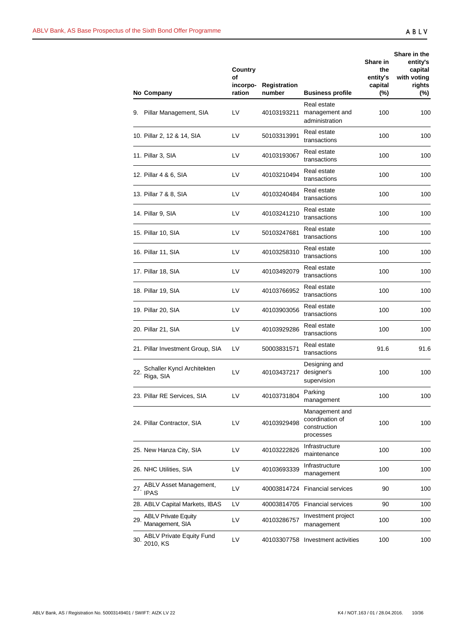|     | No Company                                    | <b>Country</b><br>Οf<br>incorpo-<br>ration | <b>Registration</b><br>number | <b>Business profile</b>                                        | Share in<br>the<br>entity's<br>capital<br>$(\%)$ | Share in the<br>entity's<br>capital<br>with voting<br>rights<br>(%) |
|-----|-----------------------------------------------|--------------------------------------------|-------------------------------|----------------------------------------------------------------|--------------------------------------------------|---------------------------------------------------------------------|
| 9.  | Pillar Management, SIA                        | LV                                         | 40103193211                   | Real estate<br>management and<br>administration                | 100                                              | 100                                                                 |
|     | 10. Pillar 2, 12 & 14, SIA                    | LV                                         | 50103313991                   | Real estate<br>transactions                                    | 100                                              | 100                                                                 |
|     | 11. Pillar 3, SIA                             | LV                                         | 40103193067                   | Real estate<br>transactions                                    | 100                                              | 100                                                                 |
|     | 12. Pillar 4 & 6, SIA                         | LV                                         | 40103210494                   | Real estate<br>transactions                                    | 100                                              | 100                                                                 |
|     | 13. Pillar 7 & 8, SIA                         | LV                                         | 40103240484                   | Real estate<br>transactions                                    | 100                                              | 100                                                                 |
|     | 14. Pillar 9, SIA                             | LV                                         | 40103241210                   | Real estate<br>transactions                                    | 100                                              | 100                                                                 |
|     | 15. Pillar 10, SIA                            | LV                                         | 50103247681                   | Real estate<br>transactions                                    | 100                                              | 100                                                                 |
|     | 16. Pillar 11, SIA                            | LV                                         | 40103258310                   | Real estate<br>transactions                                    | 100                                              | 100                                                                 |
|     | 17. Pillar 18, SIA                            | LV                                         | 40103492079                   | Real estate<br>transactions                                    | 100                                              | 100                                                                 |
|     | 18. Pillar 19, SIA                            | LV                                         | 40103766952                   | Real estate<br>transactions                                    | 100                                              | 100                                                                 |
|     | 19. Pillar 20, SIA                            | LV                                         | 40103903056                   | Real estate<br>transactions                                    | 100                                              | 100                                                                 |
|     | 20. Pillar 21, SIA                            | LV                                         | 40103929286                   | Real estate<br>transactions                                    | 100                                              | 100                                                                 |
|     | 21. Pillar Investment Group, SIA              | LV                                         | 50003831571                   | Real estate<br>transactions                                    | 91.6                                             | 91.6                                                                |
| 22. | Schaller Kyncl Architekten<br>Riga, SIA       | LV                                         | 40103437217                   | Designing and<br>designer's<br>supervision                     | 100                                              | 100                                                                 |
|     | 23. Pillar RE Services, SIA                   | LV                                         | 40103731804                   | Parking<br>management                                          | 100                                              | 100                                                                 |
|     | 24. Pillar Contractor, SIA                    | LV                                         | 40103929498                   | Management and<br>coordination of<br>construction<br>processes | 100                                              | 100                                                                 |
|     | 25. New Hanza City, SIA                       | LV                                         | 40103222826                   | Infrastructure<br>maintenance                                  | 100                                              | 100                                                                 |
|     | 26. NHC Utilities, SIA                        | LV                                         | 40103693339                   | Infrastructure<br>management                                   | 100                                              | 100                                                                 |
| 27. | ABLV Asset Management,<br><b>IPAS</b>         | LV                                         | 40003814724                   | <b>Financial services</b>                                      | 90                                               | 100                                                                 |
|     | 28. ABLV Capital Markets, IBAS                | LV                                         |                               | 40003814705 Financial services                                 | 90                                               | 100                                                                 |
| 29. | <b>ABLV Private Equity</b><br>Management, SIA | LV                                         | 40103286757                   | Investment project<br>management                               | 100                                              | 100                                                                 |
| 30. | <b>ABLV Private Equity Fund</b><br>2010, KS   | LV                                         |                               | 40103307758 Investment activities                              | 100                                              | 100                                                                 |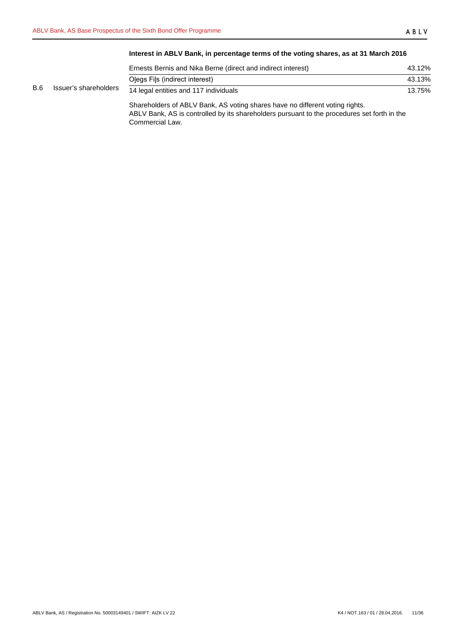# **Interest in ABLV Bank, in percentage terms of the voting shares, as at 31 March 2016**

|            |                       | Ernests Bernis and Nika Berne (direct and indirect interest) | 43.12% |
|------------|-----------------------|--------------------------------------------------------------|--------|
|            |                       | Olegs Fils (indirect interest)                               | 43.13% |
| <b>B.6</b> | Issuer's shareholders | 14 legal entities and 117 individuals                        | 13.75% |

Shareholders of ABLV Bank, AS voting shares have no different voting rights. ABLV Bank, AS is controlled by its shareholders pursuant to the procedures set forth in the Commercial Law.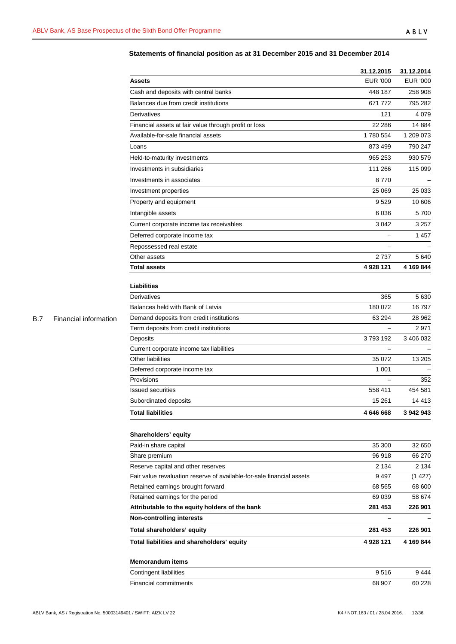# ABLV

# **Statements of financial position as at 31 December 2015 and 31 December 2014**

|            |                       |                                                                       | 31.12.2015               | 31.12.2014      |
|------------|-----------------------|-----------------------------------------------------------------------|--------------------------|-----------------|
|            |                       | <b>Assets</b>                                                         | <b>EUR '000</b>          | <b>EUR '000</b> |
|            |                       | Cash and deposits with central banks                                  | 448 187                  | 258 908         |
|            |                       | Balances due from credit institutions                                 | 671 772                  | 795 282         |
|            |                       | Derivatives                                                           | 121                      | 4 0 7 9         |
|            |                       | Financial assets at fair value through profit or loss                 | 22 28 6                  | 14 8 84         |
|            | Financial information | Available-for-sale financial assets                                   | 1780 554                 | 1 209 073       |
|            |                       | Loans                                                                 | 873 499                  | 790 247         |
|            |                       | Held-to-maturity investments                                          | 965 253                  | 930 579         |
|            |                       | Investments in subsidiaries                                           | 111 266                  | 115 099         |
|            |                       | Investments in associates                                             | 8770                     |                 |
|            |                       | Investment properties                                                 | 25 069                   | 25 033          |
|            |                       | Property and equipment                                                | 9529                     | 10 606          |
|            |                       | Intangible assets                                                     | 6 0 36                   | 5700            |
|            |                       |                                                                       | 3 0 4 2                  |                 |
|            |                       | Current corporate income tax receivables                              |                          | 3 257           |
|            |                       | Deferred corporate income tax                                         |                          | 1457            |
|            |                       | Repossessed real estate                                               |                          |                 |
|            |                       | Other assets                                                          | 2737                     | 5640            |
|            |                       | <b>Total assets</b>                                                   | 4 928 121                | 4 169 844       |
|            |                       | Liabilities                                                           |                          |                 |
|            |                       | Derivatives                                                           | 365                      | 5 6 3 0         |
|            |                       | Balances held with Bank of Latvia                                     | 180 072                  | 16 797          |
| <b>B.7</b> |                       | Demand deposits from credit institutions                              | 63 294                   | 28 962          |
|            |                       | Term deposits from credit institutions                                |                          | 2971            |
|            |                       | Deposits                                                              | 3793192                  | 3 406 032       |
|            |                       | Current corporate income tax liabilities                              |                          |                 |
|            |                       | Other liabilities                                                     | 35 072                   | 13 205          |
|            |                       | Deferred corporate income tax                                         | 1 0 0 1                  |                 |
|            |                       | Provisions                                                            | $\overline{\phantom{0}}$ | 352             |
|            |                       | <b>Issued securities</b>                                              | 558 411                  | 454 581         |
|            |                       | Subordinated deposits                                                 | 15 261                   | 14 413          |
|            |                       | <b>Total liabilities</b>                                              | 4 646 668                | 3 942 943       |
|            |                       | Shareholders' equity                                                  |                          |                 |
|            |                       | Paid-in share capital                                                 | 35 300                   | 32 650          |
|            |                       | Share premium                                                         | 96 918                   | 66 270          |
|            |                       | Reserve capital and other reserves                                    | 2 1 3 4                  | 2 1 3 4         |
|            |                       | Fair value revaluation reserve of available-for-sale financial assets | 9497                     | (1427)          |
|            |                       | Retained earnings brought forward                                     | 68 565                   | 68 600          |
|            |                       | Retained earnings for the period                                      | 69 039                   | 58 674          |
|            |                       | Attributable to the equity holders of the bank                        | 281 453                  | 226 901         |
|            |                       | <b>Non-controlling interests</b>                                      | $\overline{\phantom{0}}$ |                 |
|            |                       | Total shareholders' equity                                            | 281 453                  | 226 901         |
|            |                       | Total liabilities and shareholders' equity                            | 4 928 121                | 4 169 844       |
|            |                       |                                                                       |                          |                 |
|            |                       | <b>Memorandum items</b>                                               |                          |                 |
|            |                       | <b>Contingent liabilities</b>                                         | 9516                     | 9 4 4 4         |
|            |                       | Financial commitments                                                 | 68 907                   | 60 228          |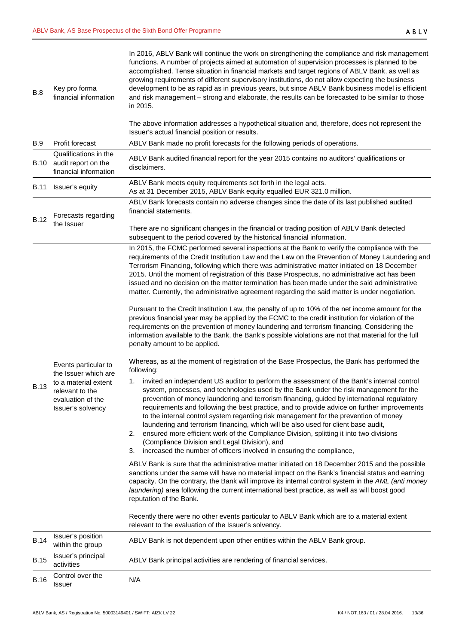| B.8         | Key pro forma<br>financial information                                            | In 2016, ABLV Bank will continue the work on strengthening the compliance and risk management<br>functions. A number of projects aimed at automation of supervision processes is planned to be<br>accomplished. Tense situation in financial markets and target regions of ABLV Bank, as well as<br>growing requirements of different supervisory institutions, do not allow expecting the business<br>development to be as rapid as in previous years, but since ABLV Bank business model is efficient<br>and risk management - strong and elaborate, the results can be forecasted to be similar to those<br>in 2015.                                                                                                 |
|-------------|-----------------------------------------------------------------------------------|-------------------------------------------------------------------------------------------------------------------------------------------------------------------------------------------------------------------------------------------------------------------------------------------------------------------------------------------------------------------------------------------------------------------------------------------------------------------------------------------------------------------------------------------------------------------------------------------------------------------------------------------------------------------------------------------------------------------------|
|             |                                                                                   | The above information addresses a hypothetical situation and, therefore, does not represent the<br>Issuer's actual financial position or results.                                                                                                                                                                                                                                                                                                                                                                                                                                                                                                                                                                       |
| <b>B.9</b>  | Profit forecast                                                                   | ABLV Bank made no profit forecasts for the following periods of operations.                                                                                                                                                                                                                                                                                                                                                                                                                                                                                                                                                                                                                                             |
|             | Qualifications in the<br>B.10 audit report on the<br>financial information        | ABLV Bank audited financial report for the year 2015 contains no auditors' qualifications or<br>disclaimers.                                                                                                                                                                                                                                                                                                                                                                                                                                                                                                                                                                                                            |
| B.11        | Issuer's equity                                                                   | ABLV Bank meets equity requirements set forth in the legal acts.<br>As at 31 December 2015, ABLV Bank equity equalled EUR 321.0 million.                                                                                                                                                                                                                                                                                                                                                                                                                                                                                                                                                                                |
|             | Forecasts regarding                                                               | ABLV Bank forecasts contain no adverse changes since the date of its last published audited<br>financial statements.                                                                                                                                                                                                                                                                                                                                                                                                                                                                                                                                                                                                    |
| <b>B.12</b> | the Issuer                                                                        | There are no significant changes in the financial or trading position of ABLV Bank detected<br>subsequent to the period covered by the historical financial information.                                                                                                                                                                                                                                                                                                                                                                                                                                                                                                                                                |
|             |                                                                                   | In 2015, the FCMC performed several inspections at the Bank to verify the compliance with the<br>requirements of the Credit Institution Law and the Law on the Prevention of Money Laundering and<br>Terrorism Financing, following which there was administrative matter initiated on 18 December<br>2015. Until the moment of registration of this Base Prospectus, no administrative act has been<br>issued and no decision on the matter termination has been made under the said administrative<br>matter. Currently, the administrative agreement regarding the said matter is under negotiation.                                                                                                                 |
|             |                                                                                   | Pursuant to the Credit Institution Law, the penalty of up to 10% of the net income amount for the<br>previous financial year may be applied by the FCMC to the credit institution for violation of the<br>requirements on the prevention of money laundering and terrorism financing. Considering the<br>information available to the Bank, the Bank's possible violations are not that material for the full<br>penalty amount to be applied.                                                                                                                                                                                                                                                                          |
|             | Events particular to<br>the Issuer which are                                      | Whereas, as at the moment of registration of the Base Prospectus, the Bank has performed the<br>following:                                                                                                                                                                                                                                                                                                                                                                                                                                                                                                                                                                                                              |
| <b>B.13</b> | to a material extent<br>relevant to the<br>evaluation of the<br>Issuer's solvency | invited an independent US auditor to perform the assessment of the Bank's internal control<br>1.<br>system, processes, and technologies used by the Bank under the risk management for the<br>prevention of money laundering and terrorism financing, guided by international regulatory<br>requirements and following the best practice, and to provide advice on further improvements<br>to the internal control system regarding risk management for the prevention of money<br>laundering and terrorism financing, which will be also used for client base audit,<br>ensured more efficient work of the Compliance Division, splitting it into two divisions<br>2.<br>(Compliance Division and Legal Division), and |
|             |                                                                                   | increased the number of officers involved in ensuring the compliance,<br>3.                                                                                                                                                                                                                                                                                                                                                                                                                                                                                                                                                                                                                                             |
|             |                                                                                   | ABLV Bank is sure that the administrative matter initiated on 18 December 2015 and the possible<br>sanctions under the same will have no material impact on the Bank's financial status and earning<br>capacity. On the contrary, the Bank will improve its internal control system in the AML (anti money<br>laundering) area following the current international best practice, as well as will boost good<br>reputation of the Bank.                                                                                                                                                                                                                                                                                 |
|             |                                                                                   | Recently there were no other events particular to ABLV Bank which are to a material extent<br>relevant to the evaluation of the Issuer's solvency.                                                                                                                                                                                                                                                                                                                                                                                                                                                                                                                                                                      |
| <b>B.14</b> | Issuer's position<br>within the group                                             | ABLV Bank is not dependent upon other entities within the ABLV Bank group.                                                                                                                                                                                                                                                                                                                                                                                                                                                                                                                                                                                                                                              |
| <b>B.15</b> | Issuer's principal<br>activities                                                  | ABLV Bank principal activities are rendering of financial services.                                                                                                                                                                                                                                                                                                                                                                                                                                                                                                                                                                                                                                                     |
| <b>B.16</b> | Control over the<br><b>Issuer</b>                                                 | N/A                                                                                                                                                                                                                                                                                                                                                                                                                                                                                                                                                                                                                                                                                                                     |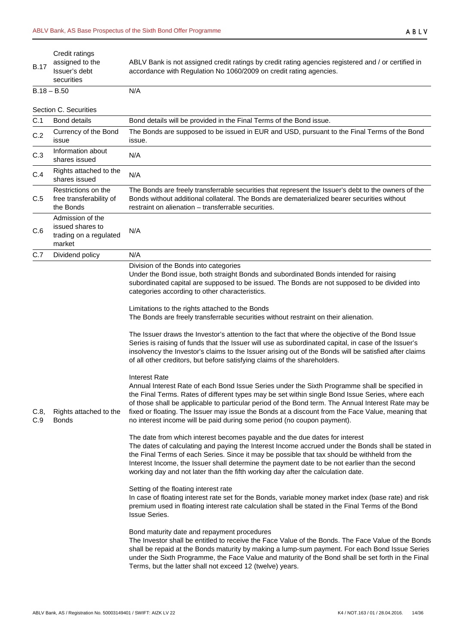| <b>B.17</b> | Credit ratings<br>assigned to the<br>Issuer's debt<br>securities         | ABLV Bank is not assigned credit ratings by credit rating agencies registered and / or certified in<br>accordance with Regulation No 1060/2009 on credit rating agencies.                                                                                                                                                                                                                                                                                                                                                                                                                                                                                                                                                                                                                                                                                                                                                                                                                                                                                                                                                                                                                                                                                                                                                                                                                                                                                                                                                                                                                                                                                                                                                                                                                                                                                                                                                                                                                             |
|-------------|--------------------------------------------------------------------------|-------------------------------------------------------------------------------------------------------------------------------------------------------------------------------------------------------------------------------------------------------------------------------------------------------------------------------------------------------------------------------------------------------------------------------------------------------------------------------------------------------------------------------------------------------------------------------------------------------------------------------------------------------------------------------------------------------------------------------------------------------------------------------------------------------------------------------------------------------------------------------------------------------------------------------------------------------------------------------------------------------------------------------------------------------------------------------------------------------------------------------------------------------------------------------------------------------------------------------------------------------------------------------------------------------------------------------------------------------------------------------------------------------------------------------------------------------------------------------------------------------------------------------------------------------------------------------------------------------------------------------------------------------------------------------------------------------------------------------------------------------------------------------------------------------------------------------------------------------------------------------------------------------------------------------------------------------------------------------------------------------|
|             | $B.18 - B.50$                                                            | N/A                                                                                                                                                                                                                                                                                                                                                                                                                                                                                                                                                                                                                                                                                                                                                                                                                                                                                                                                                                                                                                                                                                                                                                                                                                                                                                                                                                                                                                                                                                                                                                                                                                                                                                                                                                                                                                                                                                                                                                                                   |
|             | Section C. Securities                                                    |                                                                                                                                                                                                                                                                                                                                                                                                                                                                                                                                                                                                                                                                                                                                                                                                                                                                                                                                                                                                                                                                                                                                                                                                                                                                                                                                                                                                                                                                                                                                                                                                                                                                                                                                                                                                                                                                                                                                                                                                       |
| C.1         | <b>Bond details</b>                                                      | Bond details will be provided in the Final Terms of the Bond issue.                                                                                                                                                                                                                                                                                                                                                                                                                                                                                                                                                                                                                                                                                                                                                                                                                                                                                                                                                                                                                                                                                                                                                                                                                                                                                                                                                                                                                                                                                                                                                                                                                                                                                                                                                                                                                                                                                                                                   |
| C.2         | Currency of the Bond<br>issue                                            | The Bonds are supposed to be issued in EUR and USD, pursuant to the Final Terms of the Bond<br>issue.                                                                                                                                                                                                                                                                                                                                                                                                                                                                                                                                                                                                                                                                                                                                                                                                                                                                                                                                                                                                                                                                                                                                                                                                                                                                                                                                                                                                                                                                                                                                                                                                                                                                                                                                                                                                                                                                                                 |
| C.3         | Information about<br>shares issued                                       | N/A                                                                                                                                                                                                                                                                                                                                                                                                                                                                                                                                                                                                                                                                                                                                                                                                                                                                                                                                                                                                                                                                                                                                                                                                                                                                                                                                                                                                                                                                                                                                                                                                                                                                                                                                                                                                                                                                                                                                                                                                   |
| C.4         | Rights attached to the<br>shares issued                                  | N/A                                                                                                                                                                                                                                                                                                                                                                                                                                                                                                                                                                                                                                                                                                                                                                                                                                                                                                                                                                                                                                                                                                                                                                                                                                                                                                                                                                                                                                                                                                                                                                                                                                                                                                                                                                                                                                                                                                                                                                                                   |
| C.5         | Restrictions on the<br>free transferability of<br>the Bonds              | The Bonds are freely transferrable securities that represent the Issuer's debt to the owners of the<br>Bonds without additional collateral. The Bonds are dematerialized bearer securities without<br>restraint on alienation - transferrable securities.                                                                                                                                                                                                                                                                                                                                                                                                                                                                                                                                                                                                                                                                                                                                                                                                                                                                                                                                                                                                                                                                                                                                                                                                                                                                                                                                                                                                                                                                                                                                                                                                                                                                                                                                             |
| C.6         | Admission of the<br>issued shares to<br>trading on a regulated<br>market | N/A                                                                                                                                                                                                                                                                                                                                                                                                                                                                                                                                                                                                                                                                                                                                                                                                                                                                                                                                                                                                                                                                                                                                                                                                                                                                                                                                                                                                                                                                                                                                                                                                                                                                                                                                                                                                                                                                                                                                                                                                   |
| C.7         | Dividend policy                                                          | N/A<br>Division of the Bonds into categories<br>Under the Bond issue, both straight Bonds and subordinated Bonds intended for raising<br>subordinated capital are supposed to be issued. The Bonds are not supposed to be divided into<br>categories according to other characteristics.<br>Limitations to the rights attached to the Bonds<br>The Bonds are freely transferrable securities without restraint on their alienation.<br>The Issuer draws the Investor's attention to the fact that where the objective of the Bond Issue                                                                                                                                                                                                                                                                                                                                                                                                                                                                                                                                                                                                                                                                                                                                                                                                                                                                                                                                                                                                                                                                                                                                                                                                                                                                                                                                                                                                                                                               |
| C.8,<br>C.9 | Rights attached to the<br><b>Bonds</b>                                   | Series is raising of funds that the Issuer will use as subordinated capital, in case of the Issuer's<br>insolvency the Investor's claims to the Issuer arising out of the Bonds will be satisfied after claims<br>of all other creditors, but before satisfying claims of the shareholders.<br><b>Interest Rate</b><br>Annual Interest Rate of each Bond Issue Series under the Sixth Programme shall be specified in<br>the Final Terms. Rates of different types may be set within single Bond Issue Series, where each<br>of those shall be applicable to particular period of the Bond term. The Annual Interest Rate may be<br>fixed or floating. The Issuer may issue the Bonds at a discount from the Face Value, meaning that<br>no interest income will be paid during some period (no coupon payment).<br>The date from which interest becomes payable and the due dates for interest<br>The dates of calculating and paying the Interest Income accrued under the Bonds shall be stated in<br>the Final Terms of each Series. Since it may be possible that tax should be withheld from the<br>Interest Income, the Issuer shall determine the payment date to be not earlier than the second<br>working day and not later than the fifth working day after the calculation date.<br>Setting of the floating interest rate<br>In case of floating interest rate set for the Bonds, variable money market index (base rate) and risk<br>premium used in floating interest rate calculation shall be stated in the Final Terms of the Bond<br><b>Issue Series.</b><br>Bond maturity date and repayment procedures<br>The Investor shall be entitled to receive the Face Value of the Bonds. The Face Value of the Bonds<br>shall be repaid at the Bonds maturity by making a lump-sum payment. For each Bond Issue Series<br>under the Sixth Programme, the Face Value and maturity of the Bond shall be set forth in the Final<br>Terms, but the latter shall not exceed 12 (twelve) years. |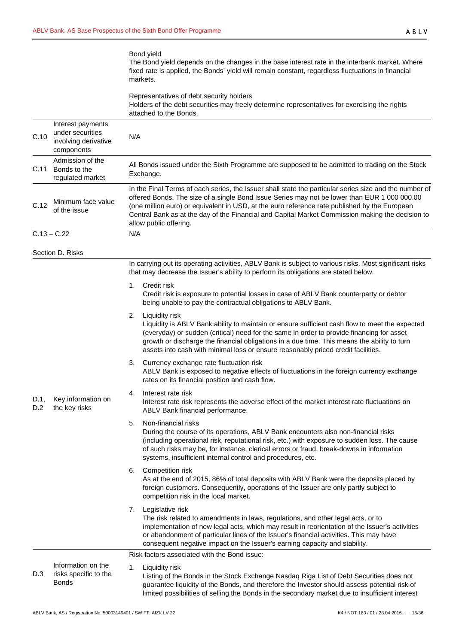## Bond yield The Bond yield depends on the changes in the base interest rate in the interbank market. Where fixed rate is applied, the Bonds' yield will remain constant, regardless fluctuations in financial markets.

|             |                                                                             | Representatives of debt security holders<br>Holders of the debt securities may freely determine representatives for exercising the rights<br>attached to the Bonds.                                                                                                                                                                                                                                                                   |  |  |  |  |
|-------------|-----------------------------------------------------------------------------|---------------------------------------------------------------------------------------------------------------------------------------------------------------------------------------------------------------------------------------------------------------------------------------------------------------------------------------------------------------------------------------------------------------------------------------|--|--|--|--|
| C.10        | Interest payments<br>under securities<br>involving derivative<br>components | N/A                                                                                                                                                                                                                                                                                                                                                                                                                                   |  |  |  |  |
| C.11        | Admission of the<br>Bonds to the<br>regulated market                        | All Bonds issued under the Sixth Programme are supposed to be admitted to trading on the Stock<br>Exchange.                                                                                                                                                                                                                                                                                                                           |  |  |  |  |
| C.12        | Minimum face value<br>of the issue                                          | In the Final Terms of each series, the Issuer shall state the particular series size and the number of<br>offered Bonds. The size of a single Bond Issue Series may not be lower than EUR 1 000 000.00<br>(one million euro) or equivalent in USD, at the euro reference rate published by the European<br>Central Bank as at the day of the Financial and Capital Market Commission making the decision to<br>allow public offering. |  |  |  |  |
|             | $C.13 - C.22$                                                               | N/A                                                                                                                                                                                                                                                                                                                                                                                                                                   |  |  |  |  |
|             | Section D. Risks                                                            |                                                                                                                                                                                                                                                                                                                                                                                                                                       |  |  |  |  |
|             |                                                                             | In carrying out its operating activities, ABLV Bank is subject to various risks. Most significant risks<br>that may decrease the Issuer's ability to perform its obligations are stated below.                                                                                                                                                                                                                                        |  |  |  |  |
|             |                                                                             | Credit risk<br>1.<br>Credit risk is exposure to potential losses in case of ABLV Bank counterparty or debtor<br>being unable to pay the contractual obligations to ABLV Bank.                                                                                                                                                                                                                                                         |  |  |  |  |
|             |                                                                             | Liquidity risk<br>2.<br>Liquidity is ABLV Bank ability to maintain or ensure sufficient cash flow to meet the expected<br>(everyday) or sudden (critical) need for the same in order to provide financing for asset<br>growth or discharge the financial obligations in a due time. This means the ability to turn<br>assets into cash with minimal loss or ensure reasonably priced credit facilities.                               |  |  |  |  |
|             |                                                                             | Currency exchange rate fluctuation risk<br>3.<br>ABLV Bank is exposed to negative effects of fluctuations in the foreign currency exchange<br>rates on its financial position and cash flow.                                                                                                                                                                                                                                          |  |  |  |  |
| D.1,<br>D.2 | Key information on<br>the key risks                                         | Interest rate risk<br>4.<br>Interest rate risk represents the adverse effect of the market interest rate fluctuations on<br>ABLV Bank financial performance.                                                                                                                                                                                                                                                                          |  |  |  |  |
|             |                                                                             | Non-financial risks<br>5.<br>During the course of its operations, ABLV Bank encounters also non-financial risks<br>(including operational risk, reputational risk, etc.) with exposure to sudden loss. The cause<br>of such risks may be, for instance, clerical errors or fraud, break-downs in information<br>systems, insufficient internal control and procedures, etc.                                                           |  |  |  |  |
|             |                                                                             | Competition risk<br>6.<br>As at the end of 2015, 86% of total deposits with ABLV Bank were the deposits placed by<br>foreign customers. Consequently, operations of the Issuer are only partly subject to<br>competition risk in the local market.                                                                                                                                                                                    |  |  |  |  |
|             |                                                                             | Legislative risk<br>7.<br>The risk related to amendments in laws, regulations, and other legal acts, or to<br>implementation of new legal acts, which may result in reorientation of the Issuer's activities<br>or abandonment of particular lines of the Issuer's financial activities. This may have<br>consequent negative impact on the Issuer's earning capacity and stability.                                                  |  |  |  |  |
|             |                                                                             | Risk factors associated with the Bond issue:                                                                                                                                                                                                                                                                                                                                                                                          |  |  |  |  |
| D.3         | Information on the<br>risks specific to the<br><b>Bonds</b>                 | 1.<br>Liquidity risk<br>Listing of the Bonds in the Stock Exchange Nasdaq Riga List of Debt Securities does not<br>guarantee liquidity of the Bonds, and therefore the Investor should assess potential risk of                                                                                                                                                                                                                       |  |  |  |  |

limited possibilities of selling the Bonds in the secondary market due to insufficient interest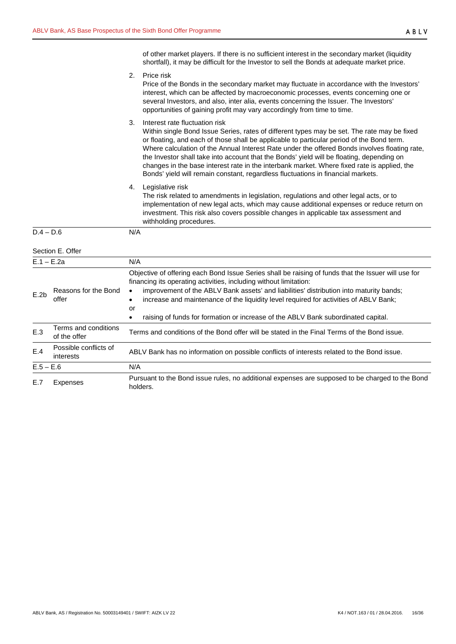| of other market players. If there is no sufficient interest in the secondary market (liquidity |
|------------------------------------------------------------------------------------------------|
| shortfall), it may be difficult for the Investor to sell the Bonds at adequate market price.   |

|              |                                      | 2.                           | Price risk<br>Price of the Bonds in the secondary market may fluctuate in accordance with the Investors'<br>interest, which can be affected by macroeconomic processes, events concerning one or<br>several Investors, and also, inter alia, events concerning the Issuer. The Investors'<br>opportunities of gaining profit may vary accordingly from time to time.                                                                                                                                                                                                                                        |  |  |  |
|--------------|--------------------------------------|------------------------------|-------------------------------------------------------------------------------------------------------------------------------------------------------------------------------------------------------------------------------------------------------------------------------------------------------------------------------------------------------------------------------------------------------------------------------------------------------------------------------------------------------------------------------------------------------------------------------------------------------------|--|--|--|
|              |                                      | 3.                           | Interest rate fluctuation risk<br>Within single Bond Issue Series, rates of different types may be set. The rate may be fixed<br>or floating, and each of those shall be applicable to particular period of the Bond term.<br>Where calculation of the Annual Interest Rate under the offered Bonds involves floating rate,<br>the Investor shall take into account that the Bonds' yield will be floating, depending on<br>changes in the base interest rate in the interbank market. Where fixed rate is applied, the<br>Bonds' yield will remain constant, regardless fluctuations in financial markets. |  |  |  |
|              |                                      | 4.                           | Legislative risk<br>The risk related to amendments in legislation, regulations and other legal acts, or to<br>implementation of new legal acts, which may cause additional expenses or reduce return on<br>investment. This risk also covers possible changes in applicable tax assessment and<br>withholding procedures.                                                                                                                                                                                                                                                                                   |  |  |  |
| $D.4 - D.6$  |                                      | N/A                          |                                                                                                                                                                                                                                                                                                                                                                                                                                                                                                                                                                                                             |  |  |  |
|              | Section E. Offer                     |                              |                                                                                                                                                                                                                                                                                                                                                                                                                                                                                                                                                                                                             |  |  |  |
| $E.1 - E.2a$ |                                      | N/A                          |                                                                                                                                                                                                                                                                                                                                                                                                                                                                                                                                                                                                             |  |  |  |
| E.2b         | Reasons for the Bond<br>offer        | $\bullet$<br>$\bullet$<br>or | Objective of offering each Bond Issue Series shall be raising of funds that the Issuer will use for<br>financing its operating activities, including without limitation:<br>improvement of the ABLV Bank assets' and liabilities' distribution into maturity bands;<br>increase and maintenance of the liquidity level required for activities of ABLV Bank;                                                                                                                                                                                                                                                |  |  |  |
|              |                                      | $\bullet$                    | raising of funds for formation or increase of the ABLV Bank subordinated capital.                                                                                                                                                                                                                                                                                                                                                                                                                                                                                                                           |  |  |  |
| E.3          | Terms and conditions<br>of the offer |                              | Terms and conditions of the Bond offer will be stated in the Final Terms of the Bond issue.                                                                                                                                                                                                                                                                                                                                                                                                                                                                                                                 |  |  |  |
| E.4          | Possible conflicts of<br>interests   |                              | ABLV Bank has no information on possible conflicts of interests related to the Bond issue.                                                                                                                                                                                                                                                                                                                                                                                                                                                                                                                  |  |  |  |
| $E.5 - E.6$  |                                      | N/A                          |                                                                                                                                                                                                                                                                                                                                                                                                                                                                                                                                                                                                             |  |  |  |
| E.7          | Expenses                             |                              | Pursuant to the Bond issue rules, no additional expenses are supposed to be charged to the Bond<br>holders.                                                                                                                                                                                                                                                                                                                                                                                                                                                                                                 |  |  |  |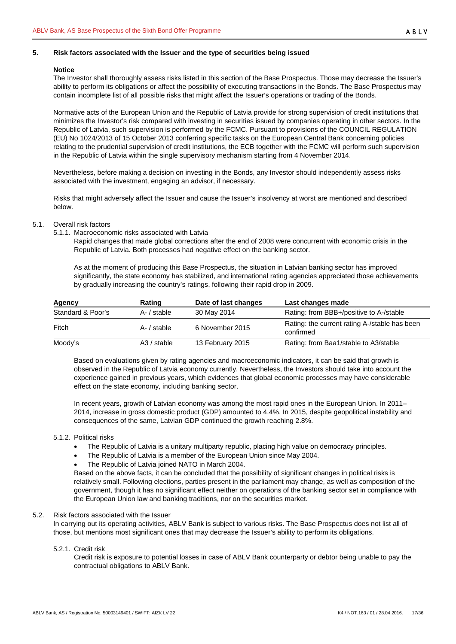## <span id="page-16-0"></span>**5. Risk factors associated with the Issuer and the type of securities being issued**

#### **Notice**

The Investor shall thoroughly assess risks listed in this section of the Base Prospectus. Those may decrease the Issuer's ability to perform its obligations or affect the possibility of executing transactions in the Bonds. The Base Prospectus may contain incomplete list of all possible risks that might affect the Issuer's operations or trading of the Bonds.

Normative acts of the European Union and the Republic of Latvia provide for strong supervision of credit institutions that minimizes the Investor's risk compared with investing in securities issued by companies operating in other sectors. In the Republic of Latvia, such supervision is performed by the FCMC. Pursuant to provisions of the COUNCIL REGULATION (EU) No 1024/2013 of 15 October 2013 conferring specific tasks on the European Central Bank concerning policies relating to the prudential supervision of credit institutions, the ECB together with the FCMC will perform such supervision in the Republic of Latvia within the single supervisory mechanism starting from 4 November 2014.

Nevertheless, before making a decision on investing in the Bonds, any Investor should independently assess risks associated with the investment, engaging an advisor, if necessary.

Risks that might adversely affect the Issuer and cause the Issuer's insolvency at worst are mentioned and described below.

- <span id="page-16-2"></span><span id="page-16-1"></span>5.1. Overall risk factors
	- 5.1.1. Macroeconomic risks associated with Latvia

Rapid changes that made global corrections after the end of 2008 were concurrent with economic crisis in the Republic of Latvia. Both processes had negative effect on the banking sector.

As at the moment of producing this Base Prospectus, the situation in Latvian banking sector has improved significantly, the state economy has stabilized, and international rating agencies appreciated those achievements by gradually increasing the country's ratings, following their rapid drop in 2009.

| Agency            | Rating        | Date of last changes | Last changes made                                          |
|-------------------|---------------|----------------------|------------------------------------------------------------|
| Standard & Poor's | A- / stable   | 30 May 2014          | Rating: from BBB+/positive to A-/stable                    |
| Fitch             | A- / stable   | 6 November 2015      | Rating: the current rating A-/stable has been<br>confirmed |
| Moody's           | $A3 /$ stable | 13 February 2015     | Rating: from Baa1/stable to A3/stable                      |

Based on evaluations given by rating agencies and macroeconomic indicators, it can be said that growth is observed in the Republic of Latvia economy currently. Nevertheless, the Investors should take into account the experience gained in previous years, which evidences that global economic processes may have considerable effect on the state economy, including banking sector.

In recent years, growth of Latvian economy was among the most rapid ones in the European Union. In 2011– 2014, increase in gross domestic product (GDP) amounted to 4.4%. In 2015, despite geopolitical instability and consequences of the same, Latvian GDP continued the growth reaching 2.8%.

## <span id="page-16-3"></span>5.1.2. Political risks

- The Republic of Latvia is a unitary multiparty republic, placing high value on democracy principles.
- The Republic of Latvia is a member of the European Union since May 2004.
- The Republic of Latvia joined NATO in March 2004.

Based on the above facts, it can be concluded that the possibility of significant changes in political risks is relatively small. Following elections, parties present in the parliament may change, as well as composition of the government, though it has no significant effect neither on operations of the banking sector set in compliance with the European Union law and banking traditions, nor on the securities market.

## <span id="page-16-4"></span>5.2. Risk factors associated with the Issuer

In carrying out its operating activities, ABLV Bank is subject to various risks. The Base Prospectus does not list all of those, but mentions most significant ones that may decrease the Issuer's ability to perform its obligations.

#### <span id="page-16-5"></span>5.2.1. Credit risk

Credit risk is exposure to potential losses in case of ABLV Bank counterparty or debtor being unable to pay the contractual obligations to ABLV Bank.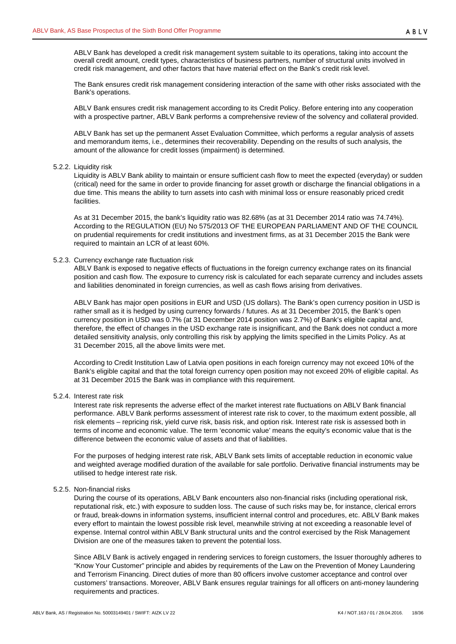ABLV Bank has developed a credit risk management system suitable to its operations, taking into account the overall credit amount, credit types, characteristics of business partners, number of structural units involved in credit risk management, and other factors that have material effect on the Bank's credit risk level.

The Bank ensures credit risk management considering interaction of the same with other risks associated with the Bank's operations.

ABLV Bank ensures credit risk management according to its Credit Policy. Before entering into any cooperation with a prospective partner, ABLV Bank performs a comprehensive review of the solvency and collateral provided.

ABLV Bank has set up the permanent Asset Evaluation Committee, which performs a regular analysis of assets and memorandum items, i.e., determines their recoverability. Depending on the results of such analysis, the amount of the allowance for credit losses (impairment) is determined.

#### <span id="page-17-0"></span>5.2.2. Liquidity risk

Liquidity is ABLV Bank ability to maintain or ensure sufficient cash flow to meet the expected (everyday) or sudden (critical) need for the same in order to provide financing for asset growth or discharge the financial obligations in a due time. This means the ability to turn assets into cash with minimal loss or ensure reasonably priced credit facilities.

As at 31 December 2015, the bank's liquidity ratio was 82.68% (as at 31 December 2014 ratio was 74.74%). According to the REGULATION (EU) No 575/2013 OF THE EUROPEAN PARLIAMENT AND OF THE COUNCIL on prudential requirements for credit institutions and investment firms, as at 31 December 2015 the Bank were required to maintain an LCR of at least 60%.

#### <span id="page-17-1"></span>5.2.3. Currency exchange rate fluctuation risk

ABLV Bank is exposed to negative effects of fluctuations in the foreign currency exchange rates on its financial position and cash flow. The exposure to currency risk is calculated for each separate currency and includes assets and liabilities denominated in foreign currencies, as well as cash flows arising from derivatives.

ABLV Bank has major open positions in EUR and USD (US dollars). The Bank's open currency position in USD is rather small as it is hedged by using currency forwards / futures. As at 31 December 2015, the Bank's open currency position in USD was 0.7% (at 31 December 2014 position was 2.7%) of Bank's eligible capital and, therefore, the effect of changes in the USD exchange rate is insignificant, and the Bank does not conduct a more detailed sensitivity analysis, only controlling this risk by applying the limits specified in the Limits Policy. As at 31 December 2015, all the above limits were met.

According to Credit Institution Law of Latvia open positions in each foreign currency may not exceed 10% of the Bank's eligible capital and that the total foreign currency open position may not exceed 20% of eligible capital. As at 31 December 2015 the Bank was in compliance with this requirement.

# <span id="page-17-2"></span>5.2.4. Interest rate risk

Interest rate risk represents the adverse effect of the market interest rate fluctuations on ABLV Bank financial performance. ABLV Bank performs assessment of interest rate risk to cover, to the maximum extent possible, all risk elements – repricing risk, yield curve risk, basis risk, and option risk. Interest rate risk is assessed both in terms of income and economic value. The term 'economic value' means the equity's economic value that is the difference between the economic value of assets and that of liabilities.

For the purposes of hedging interest rate risk, ABLV Bank sets limits of acceptable reduction in economic value and weighted average modified duration of the available for sale portfolio. Derivative financial instruments may be utilised to hedge interest rate risk.

#### <span id="page-17-3"></span>5.2.5. Non-financial risks

During the course of its operations, ABLV Bank encounters also non-financial risks (including operational risk, reputational risk, etc.) with exposure to sudden loss. The cause of such risks may be, for instance, clerical errors or fraud, break-downs in information systems, insufficient internal control and procedures, etc. ABLV Bank makes every effort to maintain the lowest possible risk level, meanwhile striving at not exceeding a reasonable level of expense. Internal control within ABLV Bank structural units and the control exercised by the Risk Management Division are one of the measures taken to prevent the potential loss.

Since ABLV Bank is actively engaged in rendering services to foreign customers, the Issuer thoroughly adheres to "Know Your Customer" principle and abides by requirements of the Law on the Prevention of Money Laundering and Terrorism Financing. Direct duties of more than 80 officers involve customer acceptance and control over customers' transactions. Moreover, ABLV Bank ensures regular trainings for all officers on anti-money laundering requirements and practices.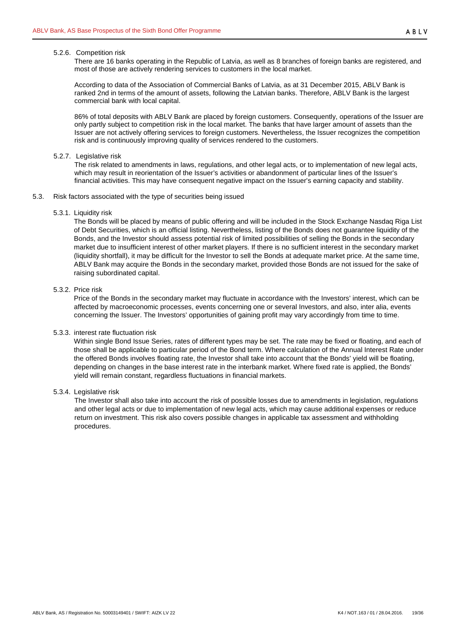#### <span id="page-18-0"></span>5.2.6. Competition risk

There are 16 banks operating in the Republic of Latvia, as well as 8 branches of foreign banks are registered, and most of those are actively rendering services to customers in the local market.

According to data of the Association of Commercial Banks of Latvia, as at 31 December 2015, ABLV Bank is ranked 2nd in terms of the amount of assets, following the Latvian banks. Therefore, ABLV Bank is the largest commercial bank with local capital.

86% of total deposits with ABLV Bank are placed by foreign customers. Consequently, operations of the Issuer are only partly subject to competition risk in the local market. The banks that have larger amount of assets than the Issuer are not actively offering services to foreign customers. Nevertheless, the Issuer recognizes the competition risk and is continuously improving quality of services rendered to the customers.

#### <span id="page-18-1"></span>5.2.7. Legislative risk

The risk related to amendments in laws, regulations, and other legal acts, or to implementation of new legal acts, which may result in reorientation of the Issuer's activities or abandonment of particular lines of the Issuer's financial activities. This may have consequent negative impact on the Issuer's earning capacity and stability.

- <span id="page-18-3"></span><span id="page-18-2"></span>5.3. Risk factors associated with the type of securities being issued
	- 5.3.1. Liquidity risk

The Bonds will be placed by means of public offering and will be included in the Stock Exchange Nasdaq Riga List of Debt Securities, which is an official listing. Nevertheless, listing of the Bonds does not guarantee liquidity of the Bonds, and the Investor should assess potential risk of limited possibilities of selling the Bonds in the secondary market due to insufficient interest of other market players. If there is no sufficient interest in the secondary market (liquidity shortfall), it may be difficult for the Investor to sell the Bonds at adequate market price. At the same time, ABLV Bank may acquire the Bonds in the secondary market, provided those Bonds are not issued for the sake of raising subordinated capital.

#### <span id="page-18-4"></span>5.3.2. Price risk

Price of the Bonds in the secondary market may fluctuate in accordance with the Investors' interest, which can be affected by macroeconomic processes, events concerning one or several Investors, and also, inter alia, events concerning the Issuer. The Investors' opportunities of gaining profit may vary accordingly from time to time.

#### <span id="page-18-5"></span>5.3.3. interest rate fluctuation risk

Within single Bond Issue Series, rates of different types may be set. The rate may be fixed or floating, and each of those shall be applicable to particular period of the Bond term. Where calculation of the Annual Interest Rate under the offered Bonds involves floating rate, the Investor shall take into account that the Bonds' yield will be floating, depending on changes in the base interest rate in the interbank market. Where fixed rate is applied, the Bonds' yield will remain constant, regardless fluctuations in financial markets.

#### <span id="page-18-6"></span>5.3.4. Legislative risk

The Investor shall also take into account the risk of possible losses due to amendments in legislation, regulations and other legal acts or due to implementation of new legal acts, which may cause additional expenses or reduce return on investment. This risk also covers possible changes in applicable tax assessment and withholding procedures.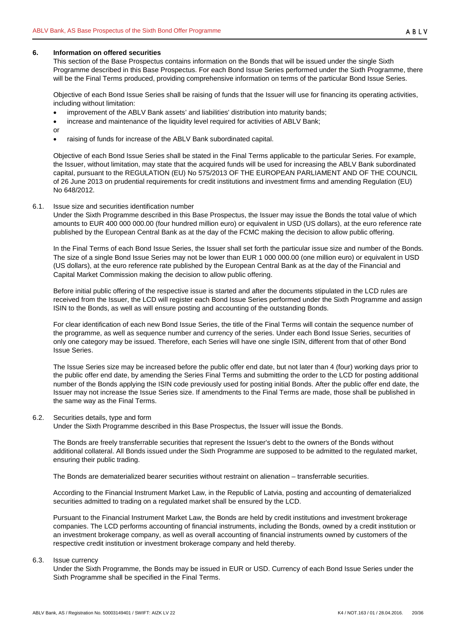#### <span id="page-19-0"></span>**6. Information on offered securities**

This section of the Base Prospectus contains information on the Bonds that will be issued under the single Sixth Programme described in this Base Prospectus. For each Bond Issue Series performed under the Sixth Programme, there will be the Final Terms produced, providing comprehensive information on terms of the particular Bond Issue Series.

Objective of each Bond Issue Series shall be raising of funds that the Issuer will use for financing its operating activities, including without limitation:

- improvement of the ABLV Bank assets' and liabilities' distribution into maturity bands;
- increase and maintenance of the liquidity level required for activities of ABLV Bank;

or

• raising of funds for increase of the ABLV Bank subordinated capital.

Objective of each Bond Issue Series shall be stated in the Final Terms applicable to the particular Series. For example, the Issuer, without limitation, may state that the acquired funds will be used for increasing the ABLV Bank subordinated capital, pursuant to the REGULATION (EU) No 575/2013 OF THE EUROPEAN PARLIAMENT AND OF THE COUNCIL of 26 June 2013 on prudential requirements for credit institutions and investment firms and amending Regulation (EU) No 648/2012.

#### <span id="page-19-1"></span>6.1. Issue size and securities identification number

Under the Sixth Programme described in this Base Prospectus, the Issuer may issue the Bonds the total value of which amounts to EUR 400 000 000.00 (four hundred million euro) or equivalent in USD (US dollars), at the euro reference rate published by the European Central Bank as at the day of the FCMC making the decision to allow public offering.

In the Final Terms of each Bond Issue Series, the Issuer shall set forth the particular issue size and number of the Bonds. The size of a single Bond Issue Series may not be lower than EUR 1 000 000.00 (one million euro) or equivalent in USD (US dollars), at the euro reference rate published by the European Central Bank as at the day of the Financial and Capital Market Commission making the decision to allow public offering.

Before initial public offering of the respective issue is started and after the documents stipulated in the LCD rules are received from the Issuer, the LCD will register each Bond Issue Series performed under the Sixth Programme and assign ISIN to the Bonds, as well as will ensure posting and accounting of the outstanding Bonds.

For clear identification of each new Bond Issue Series, the title of the Final Terms will contain the sequence number of the programme, as well as sequence number and currency of the series. Under each Bond Issue Series, securities of only one category may be issued. Therefore, each Series will have one single ISIN, different from that of other Bond Issue Series.

The Issue Series size may be increased before the public offer end date, but not later than 4 (four) working days prior to the public offer end date, by amending the Series Final Terms and submitting the order to the LCD for posting additional number of the Bonds applying the ISIN code previously used for posting initial Bonds. After the public offer end date, the Issuer may not increase the Issue Series size. If amendments to the Final Terms are made, those shall be published in the same way as the Final Terms.

#### <span id="page-19-2"></span>6.2. Securities details, type and form

Under the Sixth Programme described in this Base Prospectus, the Issuer will issue the Bonds.

The Bonds are freely transferrable securities that represent the Issuer's debt to the owners of the Bonds without additional collateral. All Bonds issued under the Sixth Programme are supposed to be admitted to the regulated market, ensuring their public trading.

The Bonds are dematerialized bearer securities without restraint on alienation – transferrable securities.

According to the Financial Instrument Market Law, in the Republic of Latvia, posting and accounting of dematerialized securities admitted to trading on a regulated market shall be ensured by the LCD.

Pursuant to the Financial Instrument Market Law, the Bonds are held by credit institutions and investment brokerage companies. The LCD performs accounting of financial instruments, including the Bonds, owned by a credit institution or an investment brokerage company, as well as overall accounting of financial instruments owned by customers of the respective credit institution or investment brokerage company and held thereby.

#### <span id="page-19-3"></span>6.3. Issue currency

Under the Sixth Programme, the Bonds may be issued in EUR or USD. Currency of each Bond Issue Series under the Sixth Programme shall be specified in the Final Terms.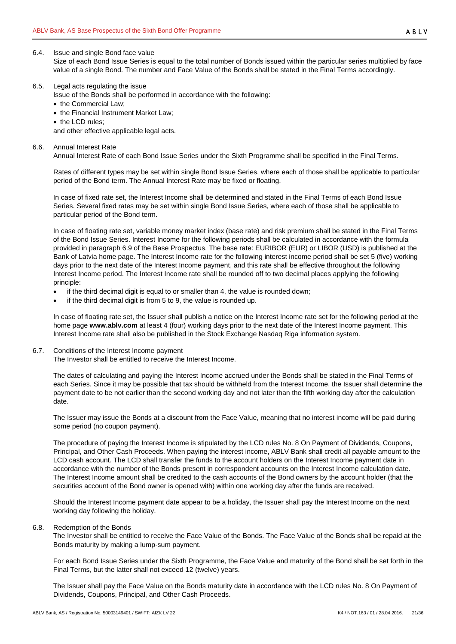#### <span id="page-20-0"></span>6.4. Issue and single Bond face value

Size of each Bond Issue Series is equal to the total number of Bonds issued within the particular series multiplied by face value of a single Bond. The number and Face Value of the Bonds shall be stated in the Final Terms accordingly.

#### <span id="page-20-1"></span>6.5. Legal acts regulating the issue

Issue of the Bonds shall be performed in accordance with the following:

- the Commercial Law;
- the Financial Instrument Market Law;
- the LCD rules;

and other effective applicable legal acts.

<span id="page-20-2"></span>6.6. Annual Interest Rate

Annual Interest Rate of each Bond Issue Series under the Sixth Programme shall be specified in the Final Terms.

Rates of different types may be set within single Bond Issue Series, where each of those shall be applicable to particular period of the Bond term. The Annual Interest Rate may be fixed or floating.

In case of fixed rate set, the Interest Income shall be determined and stated in the Final Terms of each Bond Issue Series. Several fixed rates may be set within single Bond Issue Series, where each of those shall be applicable to particular period of the Bond term.

In case of floating rate set, variable money market index (base rate) and risk premium shall be stated in the Final Terms of the Bond Issue Series. Interest Income for the following periods shall be calculated in accordance with the formula provided in paragraph [6.9](#page-21-0) of the Base Prospectus. The base rate: EURIBOR (EUR) or LIBOR (USD) is published at the Bank of Latvia home page. The Interest Income rate for the following interest income period shall be set 5 (five) working days prior to the next date of the Interest Income payment, and this rate shall be effective throughout the following Interest Income period. The Interest Income rate shall be rounded off to two decimal places applying the following principle:

- if the third decimal digit is equal to or smaller than 4, the value is rounded down;
- if the third decimal digit is from 5 to 9, the value is rounded up.

In case of floating rate set, the Issuer shall publish a notice on the Interest Income rate set for the following period at the home page **www.ablv.com** at least 4 (four) working days prior to the next date of the Interest Income payment. This Interest Income rate shall also be published in the Stock Exchange Nasdaq Riga information system.

<span id="page-20-3"></span>6.7. Conditions of the Interest Income payment

The Investor shall be entitled to receive the Interest Income.

The dates of calculating and paying the Interest Income accrued under the Bonds shall be stated in the Final Terms of each Series. Since it may be possible that tax should be withheld from the Interest Income, the Issuer shall determine the payment date to be not earlier than the second working day and not later than the fifth working day after the calculation date.

The Issuer may issue the Bonds at a discount from the Face Value, meaning that no interest income will be paid during some period (no coupon payment).

The procedure of paying the Interest Income is stipulated by the LCD rules No. 8 On Payment of Dividends, Coupons, Principal, and Other Cash Proceeds. When paying the interest income, ABLV Bank shall credit all payable amount to the LCD cash account. The LCD shall transfer the funds to the account holders on the Interest Income payment date in accordance with the number of the Bonds present in correspondent accounts on the Interest Income calculation date. The Interest Income amount shall be credited to the cash accounts of the Bond owners by the account holder (that the securities account of the Bond owner is opened with) within one working day after the funds are received.

Should the Interest Income payment date appear to be a holiday, the Issuer shall pay the Interest Income on the next working day following the holiday.

#### <span id="page-20-4"></span>6.8. Redemption of the Bonds

The Investor shall be entitled to receive the Face Value of the Bonds. The Face Value of the Bonds shall be repaid at the Bonds maturity by making a lump-sum payment.

For each Bond Issue Series under the Sixth Programme, the Face Value and maturity of the Bond shall be set forth in the Final Terms, but the latter shall not exceed 12 (twelve) years.

The Issuer shall pay the Face Value on the Bonds maturity date in accordance with the LCD rules No. 8 On Payment of Dividends, Coupons, Principal, and Other Cash Proceeds.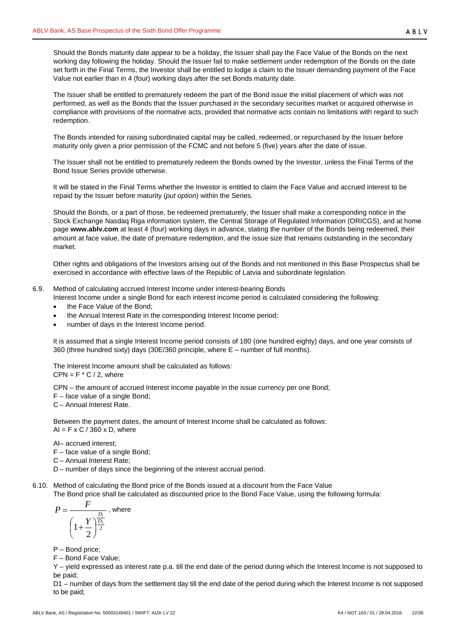Should the Bonds maturity date appear to be a holiday, the Issuer shall pay the Face Value of the Bonds on the next working day following the holiday. Should the Issuer fail to make settlement under redemption of the Bonds on the date set forth in the Final Terms, the Investor shall be entitled to lodge a claim to the Issuer demanding payment of the Face Value not earlier than in 4 (four) working days after the set Bonds maturity date.

The Issuer shall be entitled to prematurely redeem the part of the Bond issue the initial placement of which was not performed, as well as the Bonds that the Issuer purchased in the secondary securities market or acquired otherwise in compliance with provisions of the normative acts, provided that normative acts contain no limitations with regard to such redemption.

The Bonds intended for raising subordinated capital may be called, redeemed, or repurchased by the Issuer before maturity only given a prior permission of the FCMC and not before 5 (five) years after the date of issue.

The Issuer shall not be entitled to prematurely redeem the Bonds owned by the Investor, unless the Final Terms of the Bond Issue Series provide otherwise.

It will be stated in the Final Terms whether the Investor is entitled to claim the Face Value and accrued interest to be repaid by the Issuer before maturity (*put option*) within the Series.

Should the Bonds, or a part of those, be redeemed prematurely, the Issuer shall make a corresponding notice in the Stock Exchange Nasdaq Riga information system, the Central Storage of Regulated Information (ORICGS), and at home page **[www.ablv.com](http://www.ablv.com/)** at least 4 (four) working days in advance, stating the number of the Bonds being redeemed, their amount at face value, the date of premature redemption, and the issue size that remains outstanding in the secondary market.

Other rights and obligations of the Investors arising out of the Bonds and not mentioned in this Base Prospectus shall be exercised in accordance with effective laws of the Republic of Latvia and subordinate legislation.

## <span id="page-21-0"></span>6.9. Method of calculating accrued Interest Income under interest-bearing Bonds

- Interest Income under a single Bond for each interest income period is calculated considering the following:
- the Face Value of the Bond:
- the Annual Interest Rate in the corresponding Interest Income period;
- number of days in the Interest Income period.

It is assumed that a single Interest Income period consists of 180 (one hundred eighty) days, and one year consists of 360 (three hundred sixty) days (30E/360 principle, where E – number of full months).

The Interest Income amount shall be calculated as follows:

 $CPN = F * C / 2$ , where

CPN – the amount of accrued Interest Income payable in the issue currency per one Bond;

F – face value of a single Bond;

C – Annual Interest Rate.

Between the payment dates, the amount of Interest Income shall be calculated as follows:  $AI = F \times C / 360 \times D$ , where

AI– accrued interest;

F – face value of a single Bond;

- C Annual Interest Rate;
- D number of days since the beginning of the interest accrual period.
- <span id="page-21-1"></span>6.10. Method of calculating the Bond price of the Bonds issued at a discount from the Face Value

The Bond price shall be calculated as discounted price to the Bond Face Value, using the following formula:

$$
P = \frac{F}{\left(1 + \frac{Y}{2}\right)^{\frac{D_1}{2}}}
$$
, where

P – Bond price;

F – Bond Face Value;

Y – yield expressed as interest rate p.a. till the end date of the period during which the Interest Income is not supposed to be paid;

D1 – number of days from the settlement day till the end date of the period during which the Interest Income is not supposed to be paid;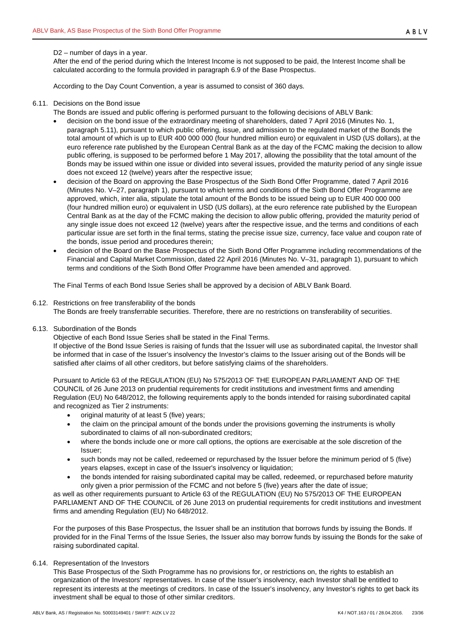#### D2 – number of days in a year.

After the end of the period during which the Interest Income is not supposed to be paid, the Interest Income shall be calculated according to the formula provided in paragraph [6.9](#page-21-0) of the Base Prospectus.

According to the Day Count Convention, a year is assumed to consist of 360 days.

#### <span id="page-22-0"></span>6.11. Decisions on the Bond issue

The Bonds are issued and public offering is performed pursuant to the following decisions of ABLV Bank:

- decision on the bond issue of the extraordinary meeting of shareholders, dated 7 April 2016 (Minutes No. 1, paragraph 5.11), pursuant to which public offering, issue, and admission to the regulated market of the Bonds the total amount of which is up to EUR 400 000 000 (four hundred million euro) or equivalent in USD (US dollars), at the euro reference rate published by the European Central Bank as at the day of the FCMC making the decision to allow public offering, is supposed to be performed before 1 May 2017, allowing the possibility that the total amount of the Bonds may be issued within one issue or divided into several issues, provided the maturity period of any single issue does not exceed 12 (twelve) years after the respective issue;
- decision of the Board on approving the Base Prospectus of the Sixth Bond Offer Programme, dated 7 April 2016 (Minutes No. V–27, paragraph 1), pursuant to which terms and conditions of the Sixth Bond Offer Programme are approved, which, inter alia, stipulate the total amount of the Bonds to be issued being up to EUR 400 000 000 (four hundred million euro) or equivalent in USD (US dollars), at the euro reference rate published by the European Central Bank as at the day of the FCMC making the decision to allow public offering, provided the maturity period of any single issue does not exceed 12 (twelve) years after the respective issue, and the terms and conditions of each particular issue are set forth in the final terms, stating the precise issue size, currency, face value and coupon rate of the bonds, issue period and procedures therein;
- decision of the Board on the Base Prospectus of the Sixth Bond Offer Programme including recommendations of the Financial and Capital Market Commission, dated 22 April 2016 (Minutes No. V–31, paragraph 1), pursuant to which terms and conditions of the Sixth Bond Offer Programme have been amended and approved.

The Final Terms of each Bond Issue Series shall be approved by a decision of ABLV Bank Board.

#### <span id="page-22-1"></span>6.12. Restrictions on free transferability of the bonds

The Bonds are freely transferrable securities. Therefore, there are no restrictions on transferability of securities.

<span id="page-22-2"></span>6.13. Subordination of the Bonds

Objective of each Bond Issue Series shall be stated in the Final Terms.

If objective of the Bond Issue Series is raising of funds that the Issuer will use as subordinated capital, the Investor shall be informed that in case of the Issuer's insolvency the Investor's claims to the Issuer arising out of the Bonds will be satisfied after claims of all other creditors, but before satisfying claims of the shareholders.

Pursuant to Article 63 of the REGULATION (EU) No 575/2013 OF THE EUROPEAN PARLIAMENT AND OF THE COUNCIL of 26 June 2013 on prudential requirements for credit institutions and investment firms and amending Regulation (EU) No 648/2012, the following requirements apply to the bonds intended for raising subordinated capital and recognized as Tier 2 instruments:

- original maturity of at least 5 (five) years;
- the claim on the principal amount of the bonds under the provisions governing the instruments is wholly subordinated to claims of all non-subordinated creditors;
- where the bonds include one or more call options, the options are exercisable at the sole discretion of the Issuer;
- such bonds may not be called, redeemed or repurchased by the Issuer before the minimum period of 5 (five) years elapses, except in case of the Issuer's insolvency or liquidation;
- the bonds intended for raising subordinated capital may be called, redeemed, or repurchased before maturity only given a prior permission of the FCMC and not before 5 (five) years after the date of issue;

as well as other requirements pursuant to Article 63 of the REGULATION (EU) No 575/2013 OF THE EUROPEAN PARLIAMENT AND OF THE COUNCIL of 26 June 2013 on prudential requirements for credit institutions and investment firms and amending Regulation (EU) No 648/2012.

For the purposes of this Base Prospectus, the Issuer shall be an institution that borrows funds by issuing the Bonds. If provided for in the Final Terms of the Issue Series, the Issuer also may borrow funds by issuing the Bonds for the sake of raising subordinated capital.

## <span id="page-22-3"></span>6.14. Representation of the Investors

This Base Prospectus of the Sixth Programme has no provisions for, or restrictions on, the rights to establish an organization of the Investors' representatives. In case of the Issuer's insolvency, each Investor shall be entitled to represent its interests at the meetings of creditors. In case of the Issuer's insolvency, any Investor's rights to get back its investment shall be equal to those of other similar creditors.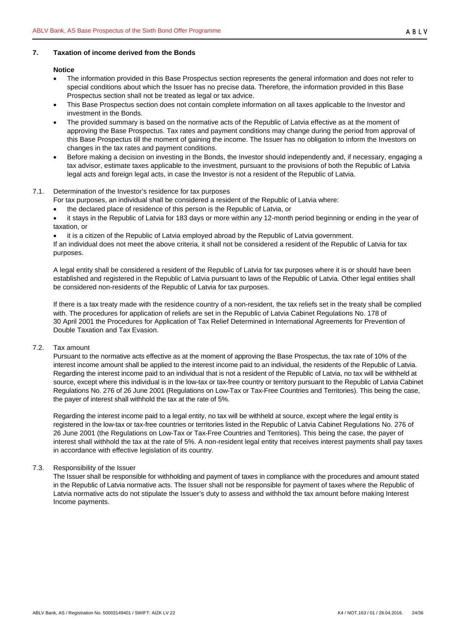# <span id="page-23-0"></span>**7. Taxation of income derived from the Bonds**

#### **Notice**

- The information provided in this Base Prospectus section represents the general information and does not refer to special conditions about which the Issuer has no precise data. Therefore, the information provided in this Base Prospectus section shall not be treated as legal or tax advice.
- This Base Prospectus section does not contain complete information on all taxes applicable to the Investor and investment in the Bonds.
- The provided summary is based on the normative acts of the Republic of Latvia effective as at the moment of approving the Base Prospectus. Tax rates and payment conditions may change during the period from approval of this Base Prospectus till the moment of gaining the income. The Issuer has no obligation to inform the Investors on changes in the tax rates and payment conditions.
- Before making a decision on investing in the Bonds, the Investor should independently and, if necessary, engaging a tax advisor, estimate taxes applicable to the investment, pursuant to the provisions of both the Republic of Latvia legal acts and foreign legal acts, in case the Investor is not a resident of the Republic of Latvia.

## <span id="page-23-1"></span>7.1. Determination of the Investor's residence for tax purposes

- For tax purposes, an individual shall be considered a resident of the Republic of Latvia where:
- the declared place of residence of this person is the Republic of Latvia, or
- it stays in the Republic of Latvia for 183 days or more within any 12-month period beginning or ending in the year of taxation, or

it is a citizen of the Republic of Latvia employed abroad by the Republic of Latvia government. If an individual does not meet the above criteria, it shall not be considered a resident of the Republic of Latvia for tax purposes.

A legal entity shall be considered a resident of the Republic of Latvia for tax purposes where it is or should have been established and registered in the Republic of Latvia pursuant to laws of the Republic of Latvia. Other legal entities shall be considered non-residents of the Republic of Latvia for tax purposes.

If there is a tax treaty made with the residence country of a non-resident, the tax reliefs set in the treaty shall be complied with. The procedures for application of reliefs are set in the Republic of Latvia Cabinet Regulations No. 178 of 30 April 2001 the Procedures for Application of Tax Relief Determined in International Agreements for Prevention of Double Taxation and Tax Evasion.

## <span id="page-23-2"></span>7.2. Tax amount

Pursuant to the normative acts effective as at the moment of approving the Base Prospectus, the tax rate of 10% of the interest income amount shall be applied to the interest income paid to an individual, the residents of the Republic of Latvia. Regarding the interest income paid to an individual that is not a resident of the Republic of Latvia, no tax will be withheld at source, except where this individual is in the low-tax or tax-free country or territory pursuant to the Republic of Latvia Cabinet Regulations No. 276 of 26 June 2001 (Regulations on Low-Tax or Tax-Free Countries and Territories). This being the case, the payer of interest shall withhold the tax at the rate of 5%.

Regarding the interest income paid to a legal entity, no tax will be withheld at source, except where the legal entity is registered in the low-tax or tax-free countries or territories listed in the Republic of Latvia Cabinet Regulations No. 276 of 26 June 2001 (the Regulations on Low-Tax or Tax-Free Countries and Territories). This being the case, the payer of interest shall withhold the tax at the rate of 5%. A non-resident legal entity that receives interest payments shall pay taxes in accordance with effective legislation of its country.

## <span id="page-23-3"></span>7.3. Responsibility of the Issuer

The Issuer shall be responsible for withholding and payment of taxes in compliance with the procedures and amount stated in the Republic of Latvia normative acts. The Issuer shall not be responsible for payment of taxes where the Republic of Latvia normative acts do not stipulate the Issuer's duty to assess and withhold the tax amount before making Interest Income payments.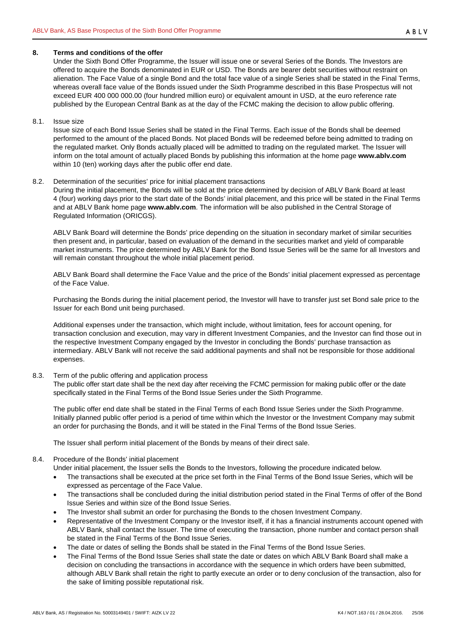#### <span id="page-24-0"></span>**8. Terms and conditions of the offer**

Under the Sixth Bond Offer Programme, the Issuer will issue one or several Series of the Bonds. The Investors are offered to acquire the Bonds denominated in EUR or USD. The Bonds are bearer debt securities without restraint on alienation. The Face Value of a single Bond and the total face value of a single Series shall be stated in the Final Terms, whereas overall face value of the Bonds issued under the Sixth Programme described in this Base Prospectus will not exceed EUR 400 000 000.00 (four hundred million euro) or equivalent amount in USD, at the euro reference rate published by the European Central Bank as at the day of the FCMC making the decision to allow public offering.

#### <span id="page-24-1"></span>8.1. Issue size

Issue size of each Bond Issue Series shall be stated in the Final Terms. Each issue of the Bonds shall be deemed performed to the amount of the placed Bonds. Not placed Bonds will be redeemed before being admitted to trading on the regulated market. Only Bonds actually placed will be admitted to trading on the regulated market. The Issuer will inform on the total amount of actually placed Bonds by publishing this information at the home page **www.ablv.com** within 10 (ten) working days after the public offer end date.

#### <span id="page-24-2"></span>8.2. Determination of the securities' price for initial placement transactions

During the initial placement, the Bonds will be sold at the price determined by decision of ABLV Bank Board at least 4 (four) working days prior to the start date of the Bonds' initial placement, and this price will be stated in the Final Terms and at ABLV Bank home page **[www.ablv.com](http://www.ablv.com/)**. The information will be also published in the Central Storage of Regulated Information (ORICGS).

ABLV Bank Board will determine the Bonds' price depending on the situation in secondary market of similar securities then present and, in particular, based on evaluation of the demand in the securities market and yield of comparable market instruments. The price determined by ABLV Bank for the Bond Issue Series will be the same for all Investors and will remain constant throughout the whole initial placement period.

ABLV Bank Board shall determine the Face Value and the price of the Bonds' initial placement expressed as percentage of the Face Value.

Purchasing the Bonds during the initial placement period, the Investor will have to transfer just set Bond sale price to the Issuer for each Bond unit being purchased.

Additional expenses under the transaction, which might include, without limitation, fees for account opening, for transaction conclusion and execution, may vary in different Investment Companies, and the Investor can find those out in the respective Investment Company engaged by the Investor in concluding the Bonds' purchase transaction as intermediary. ABLV Bank will not receive the said additional payments and shall not be responsible for those additional expenses.

## <span id="page-24-3"></span>8.3. Term of the public offering and application process

The public offer start date shall be the next day after receiving the FCMC permission for making public offer or the date specifically stated in the Final Terms of the Bond Issue Series under the Sixth Programme.

The public offer end date shall be stated in the Final Terms of each Bond Issue Series under the Sixth Programme. Initially planned public offer period is a period of time within which the Investor or the Investment Company may submit an order for purchasing the Bonds, and it will be stated in the Final Terms of the Bond Issue Series.

The Issuer shall perform initial placement of the Bonds by means of their direct sale.

## <span id="page-24-4"></span>8.4. Procedure of the Bonds' initial placement

Under initial placement, the Issuer sells the Bonds to the Investors, following the procedure indicated below.

- The transactions shall be executed at the price set forth in the Final Terms of the Bond Issue Series, which will be expressed as percentage of the Face Value.
- The transactions shall be concluded during the initial distribution period stated in the Final Terms of offer of the Bond Issue Series and within size of the Bond Issue Series.
- The Investor shall submit an order for purchasing the Bonds to the chosen Investment Company.
- Representative of the Investment Company or the Investor itself, if it has a financial instruments account opened with ABLV Bank, shall contact the Issuer. The time of executing the transaction, phone number and contact person shall be stated in the Final Terms of the Bond Issue Series.
- The date or dates of selling the Bonds shall be stated in the Final Terms of the Bond Issue Series.
- The Final Terms of the Bond Issue Series shall state the date or dates on which ABLV Bank Board shall make a decision on concluding the transactions in accordance with the sequence in which orders have been submitted, although ABLV Bank shall retain the right to partly execute an order or to deny conclusion of the transaction, also for the sake of limiting possible reputational risk.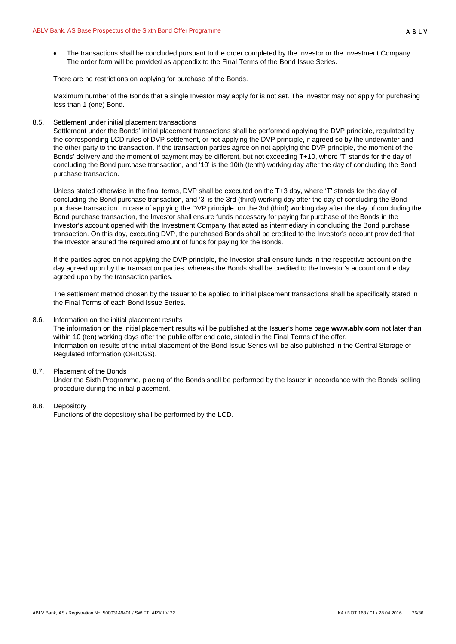• The transactions shall be concluded pursuant to the order completed by the Investor or the Investment Company. The order form will be provided as appendix to the Final Terms of the Bond Issue Series.

There are no restrictions on applying for purchase of the Bonds.

Maximum number of the Bonds that a single Investor may apply for is not set. The Investor may not apply for purchasing less than 1 (one) Bond.

## <span id="page-25-0"></span>8.5. Settlement under initial placement transactions

Settlement under the Bonds' initial placement transactions shall be performed applying the DVP principle, regulated by the corresponding LCD rules of DVP settlement, or not applying the DVP principle, if agreed so by the underwriter and the other party to the transaction. If the transaction parties agree on not applying the DVP principle, the moment of the Bonds' delivery and the moment of payment may be different, but not exceeding T+10, where 'T' stands for the day of concluding the Bond purchase transaction, and '10' is the 10th (tenth) working day after the day of concluding the Bond purchase transaction.

Unless stated otherwise in the final terms, DVP shall be executed on the T+3 day, where 'T' stands for the day of concluding the Bond purchase transaction, and '3' is the 3rd (third) working day after the day of concluding the Bond purchase transaction. In case of applying the DVP principle, on the 3rd (third) working day after the day of concluding the Bond purchase transaction, the Investor shall ensure funds necessary for paying for purchase of the Bonds in the Investor's account opened with the Investment Company that acted as intermediary in concluding the Bond purchase transaction. On this day, executing DVP, the purchased Bonds shall be credited to the Investor's account provided that the Investor ensured the required amount of funds for paying for the Bonds.

If the parties agree on not applying the DVP principle, the Investor shall ensure funds in the respective account on the day agreed upon by the transaction parties, whereas the Bonds shall be credited to the Investor's account on the day agreed upon by the transaction parties.

The settlement method chosen by the Issuer to be applied to initial placement transactions shall be specifically stated in the Final Terms of each Bond Issue Series.

#### <span id="page-25-1"></span>8.6. Information on the initial placement results

The information on the initial placement results will be published at the Issuer's home page **www.ablv.com** not later than within 10 (ten) working days after the public offer end date, stated in the Final Terms of the offer. Information on results of the initial placement of the Bond Issue Series will be also published in the Central Storage of Regulated Information (ORICGS).

## <span id="page-25-2"></span>8.7. Placement of the Bonds

Under the Sixth Programme, placing of the Bonds shall be performed by the Issuer in accordance with the Bonds' selling procedure during the initial placement.

## <span id="page-25-3"></span>8.8. Depository

Functions of the depository shall be performed by the LCD.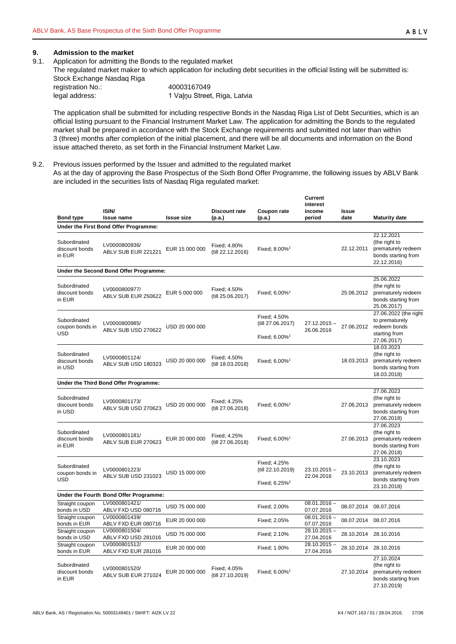#### <span id="page-26-0"></span>**9. Admission to the market**

<span id="page-26-1"></span>9.1. Application for admitting the Bonds to the regulated market

The regulated market maker to which application for including debt securities in the official listing will be submitted is: Stock Exchange Nasdag Riga

| otoon Exonango Habaaq Higa |
|----------------------------|
| registration No.:          |
| legal address:             |
|                            |

registration No.: 40003167049 1 Vaļņu Street, Riga, Latvia

The application shall be submitted for including respective Bonds in the Nasdaq Riga List of Debt Securities, which is an official listing pursuant to the Financial Instrument Market Law. The application for admitting the Bonds to the regulated market shall be prepared in accordance with the Stock Exchange requirements and submitted not later than within 3 (three) months after completion of the initial placement, and there will be all documents and information on the Bond issue attached thereto, as set forth in the Financial Instrument Market Law.

<span id="page-26-2"></span>9.2. Previous issues performed by the Issuer and admitted to the regulated market

As at the day of approving the Base Prospectus of the Sixth Bond Offer Programme, the following issues by ABLV Bank are included in the securities lists of Nasdaq Riga regulated market:

| <b>Bond type</b>                         | <b>ISIN/</b><br><b>Issue name</b>      | <b>Issue size</b> | <b>Discount rate</b><br>(p.a.)    | Coupon rate<br>(p.a.)                                          | Current<br>interest<br>income<br>period | Issue<br>date | <b>Maturity date</b>                                                                    |
|------------------------------------------|----------------------------------------|-------------------|-----------------------------------|----------------------------------------------------------------|-----------------------------------------|---------------|-----------------------------------------------------------------------------------------|
|                                          | Under the First Bond Offer Programme:  |                   |                                   |                                                                |                                         |               |                                                                                         |
| Subordinated<br>discount bonds<br>in EUR | LV0000800936/<br>ABLV SUB EUR 221221   | EUR 15 000 000    | Fixed: 4.80%<br>(till 22.12.2016) | Fixed: 8.00% <sup>1</sup>                                      |                                         | 22.12.2011    | 22.12.2021<br>(the right to<br>prematurely redeem<br>bonds starting from<br>22.12.2016) |
|                                          | Under the Second Bond Offer Programme: |                   |                                   |                                                                |                                         |               |                                                                                         |
| Subordinated<br>discount bonds<br>in EUR | LV0000800977/<br>ABLV SUB EUR 250622   | EUR 5 000 000     | Fixed; 4.50%<br>(till 25.06.2017) | Fixed: 6.00% <sup>1</sup>                                      |                                         | 25.06.2012    | 25.06.2022<br>(the right to<br>prematurely redeem<br>bonds starting from<br>25.06.2017) |
| Subordinated<br>coupon bonds in          | LV0000800985/<br>ABLV SUB USD 270622   | USD 20 000 000    |                                   | Fixed; 4.50%<br>(till 27.06.2017)                              | 27.12.2015 -<br>26.06.2016              | 27.06.2012    | 27.06.2022 (the right<br>to prematurely<br>redeem bonds                                 |
| USD                                      |                                        |                   |                                   | Fixed; 6.00% <sup>1</sup>                                      |                                         |               | starting from<br>27.06.2017)                                                            |
| Subordinated<br>discount bonds<br>in USD | LV0000801124/<br>ABLV SUB USD 180323   | USD 20 000 000    | Fixed: 4.50%<br>(till 18.03.2018) | Fixed; 6.00% <sup>1</sup>                                      |                                         | 18.03.2013    | 18.03.2023<br>(the right to<br>prematurely redeem<br>bonds starting from<br>18.03.2018) |
|                                          | Under the Third Bond Offer Programme:  |                   |                                   |                                                                |                                         |               |                                                                                         |
| Subordinated<br>discount bonds<br>in USD | LV0000801173/<br>ABLV SUB USD 270623   | USD 20 000 000    | Fixed; 4.25%<br>(till 27.06.2018) | Fixed; 6.00% <sup>1</sup>                                      |                                         | 27.06.2013    | 27.06.2023<br>(the right to<br>prematurely redeem<br>bonds starting from<br>27.06.2018) |
| Subordinated<br>discount bonds<br>in EUR | LV0000801181/<br>ABLV SUB EUR 270623   | EUR 20 000 000    | Fixed; 4.25%<br>(till 27.06.2018) | Fixed; 6.00% <sup>1</sup>                                      |                                         | 27.06.2013    | 27.06.2023<br>(the right to<br>prematurely redeem<br>bonds starting from<br>27.06.2018) |
| Subordinated<br>coupon bonds in<br>USD   | LV0000801223/<br>ABLV SUB USD 231023   | USD 15 000 000    |                                   | Fixed: 4.25%<br>(till 22.10.2019)<br>Fixed: 6.25% <sup>2</sup> | $23.10.2015 -$<br>22.04.2016            | 23.10.2013    | 23.10.2023<br>(the right to<br>prematurely redeem<br>bonds starting from<br>23.10.2018) |
|                                          | Under the Fourth Bond Offer Programme: |                   |                                   |                                                                |                                         |               |                                                                                         |
| Straight coupon<br>bonds in USD          | LV0000801421/<br>ABLV FXD USD 080716   | USD 75 000 000    |                                   | Fixed: 2.00%                                                   | $08.01.2016 -$<br>07.07.2016            | 08.07.2014    | 08.07.2016                                                                              |
| Straight coupon<br>bonds in EUR          | LV0000801439/<br>ABLV FXD EUR 080716   | EUR 20 000 000    |                                   | Fixed: 2.05%                                                   | $08.01.2016 -$<br>07.07.2016            | 08.07.2014    | 08.07.2016                                                                              |
| Straight coupon<br>bonds in USD          | LV0000801504/<br>ABLV FXD USD 281016   | USD 75 000 000    |                                   | Fixed; 2.10%                                                   | $28.10.2015 -$<br>27.04.2016            |               | 28.10.2014 28.10.2016                                                                   |
| Straight coupon<br>bonds in EUR          | LV0000801512/<br>ABLV FXD EUR 281016   | EUR 20 000 000    |                                   | Fixed: 1.90%                                                   | $28.10.2015 -$<br>27.04.2016            |               | 28.10.2014 28.10.2016                                                                   |
| Subordinated<br>discount bonds<br>in EUR | LV0000801520/<br>ABLV SUB EUR 271024   | EUR 20 000 000    | Fixed; 4.05%<br>(till 27.10.2019) | Fixed; 6.00% <sup>1</sup>                                      |                                         | 27.10.2014    | 27.10.2024<br>(the right to<br>prematurely redeem<br>bonds starting from<br>27.10.2019) |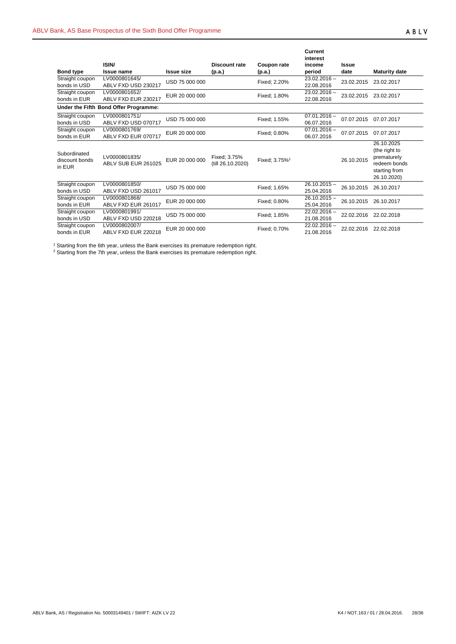| <b>Bond type</b>                         | ISIN/<br>Issue name                   | <b>Issue size</b> | Discount rate<br>(p.a.)           | Coupon rate<br>(p.a.)     | Current<br>interest<br>income<br>period | <b>Issue</b><br>date | <b>Maturity date</b>                                                                       |
|------------------------------------------|---------------------------------------|-------------------|-----------------------------------|---------------------------|-----------------------------------------|----------------------|--------------------------------------------------------------------------------------------|
| Straight coupon<br>bonds in USD          | LV0000801645/<br>ABLV FXD USD 230217  | USD 75 000 000    |                                   | Fixed; 2.20%              | $23.02.2016 -$<br>22.08.2016            | 23.02.2015           | 23.02.2017                                                                                 |
| Straight coupon<br>bonds in EUR          | LV0000801652/<br>ABLV FXD EUR 230217  | EUR 20 000 000    |                                   | Fixed: 1.80%              | $23.02.2016 -$<br>22.08.2016            | 23.02.2015           | 23.02.2017                                                                                 |
|                                          | Under the Fifth Bond Offer Programme: |                   |                                   |                           |                                         |                      |                                                                                            |
| Straight coupon<br>bonds in USD          | LV0000801751/<br>ABLV FXD USD 070717  | USD 75 000 000    |                                   | Fixed; 1.55%              | $07.01.2016 -$<br>06.07.2016            | 07.07.2015           | 07.07.2017                                                                                 |
| Straight coupon<br>bonds in EUR          | LV0000801769/<br>ABLV FXD EUR 070717  | EUR 20 000 000    |                                   | Fixed; 0.80%              | $07.01.2016 -$<br>06.07.2016            | 07.07.2015           | 07.07.2017                                                                                 |
| Subordinated<br>discount bonds<br>in EUR | LV0000801835/<br>ABLV SUB EUR 261025  | EUR 20 000 000    | Fixed: 3.75%<br>(till 26.10.2020) | Fixed; 3.75% <sup>1</sup> |                                         | 26.10.2015           | 26.10.2025<br>(the right to<br>prematurely<br>redeem bonds<br>starting from<br>26.10.2020) |
| Straight coupon<br>bonds in USD          | LV0000801850/<br>ABLV FXD USD 261017  | USD 75 000 000    |                                   | Fixed: 1.65%              | $26.10.2015 -$<br>25.04.2016            | 26.10.2015           | 26.10.2017                                                                                 |
| Straight coupon<br>bonds in EUR          | LV0000801868/<br>ABLV FXD EUR 261017  | EUR 20 000 000    |                                   | Fixed: 0.80%              | $26.10.2015 -$<br>25.04.2016            | 26.10.2015           | 26.10.2017                                                                                 |
| Straight coupon<br>bonds in USD          | LV0000801991/<br>ABLV FXD USD 220218  | USD 75 000 000    |                                   | Fixed: 1.85%              | $22.02.2016 -$<br>21.08.2016            | 22.02.2016           | 22.02.2018                                                                                 |
| Straight coupon<br>bonds in EUR          | LV0000802007/<br>ABLV FXD EUR 220218  | EUR 20 000 000    |                                   | Fixed; 0.70%              | $22.02.2016 -$<br>21.08.2016            | 22.02.2016           | 22.02.2018                                                                                 |

 $1$  Starting from the 6th year, unless the Bank exercises its premature redemption right.

 $2$  Starting from the 7th year, unless the Bank exercises its premature redemption right.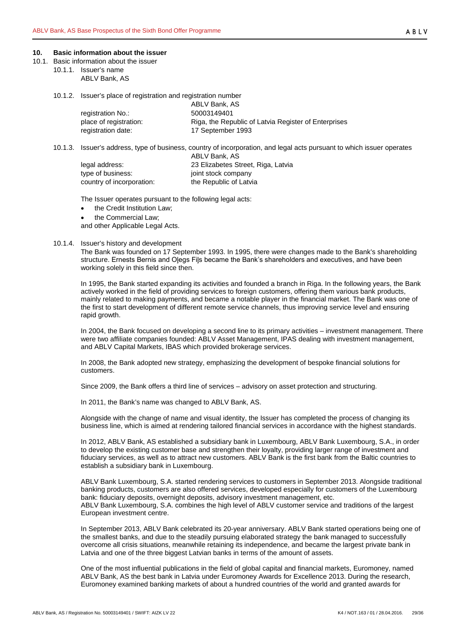#### <span id="page-28-0"></span>**10. Basic information about the issuer**

- <span id="page-28-3"></span><span id="page-28-2"></span><span id="page-28-1"></span>10.1. Basic information about the issuer
	- 10.1.1. Issuer's name
		- ABLV Bank, AS
		- 10.1.2. Issuer's place of registration and registration number

|                        | ABLV Bank, AS                                        |
|------------------------|------------------------------------------------------|
| registration No.:      | 50003149401                                          |
| place of registration: | Riga, the Republic of Latvia Register of Enterprises |
| registration date:     | 17 September 1993                                    |

<span id="page-28-4"></span>10.1.3. Issuer's address, type of business, country of incorporation, and legal acts pursuant to which issuer operates

|                           | ABLV Bank, AS                      |
|---------------------------|------------------------------------|
| legal address:            | 23 Elizabetes Street, Riga, Latvia |
| type of business:         | joint stock company                |
| country of incorporation: | the Republic of Latvia             |

The Issuer operates pursuant to the following legal acts:

- the Credit Institution Law:
- the Commercial Law;

and other Applicable Legal Acts.

#### <span id="page-28-5"></span>10.1.4. Issuer's history and development

The Bank was founded on 17 September 1993. In 1995, there were changes made to the Bank's shareholding structure. Ernests Bernis and Oļegs Fiļs became the Bank's shareholders and executives, and have been working solely in this field since then.

In 1995, the Bank started expanding its activities and founded a branch in Riga. In the following years, the Bank actively worked in the field of providing services to foreign customers, offering them various bank products, mainly related to making payments, and became a notable player in the financial market. The Bank was one of the first to start development of different remote service channels, thus improving service level and ensuring rapid growth.

In 2004, the Bank focused on developing a second line to its primary activities – investment management. There were two affiliate companies founded: ABLV Asset Management, IPAS dealing with investment management, and ABLV Capital Markets, IBAS which provided brokerage services.

In 2008, the Bank adopted new strategy, emphasizing the development of bespoke financial solutions for customers.

Since 2009, the Bank offers a third line of services – advisory on asset protection and structuring.

In 2011, the Bank's name was changed to ABLV Bank, AS.

Alongside with the change of name and visual identity, the Issuer has completed the process of changing its business line, which is aimed at rendering tailored financial services in accordance with the highest standards.

In 2012, ABLV Bank, AS established a subsidiary bank in Luxembourg, ABLV Bank Luxembourg, S.A., in order to develop the existing customer base and strengthen their loyalty, providing larger range of investment and fiduciary services, as well as to attract new customers. ABLV Bank is the first bank from the Baltic countries to establish a subsidiary bank in Luxembourg.

ABLV Bank Luxembourg, S.A. started rendering services to customers in September 2013. Alongside traditional banking products, customers are also offered services, developed especially for customers of the Luxembourg bank: fiduciary deposits, overnight deposits, advisory investment management, etc. ABLV Bank Luxembourg, S.A. combines the high level of ABLV customer service and traditions of the largest European investment centre.

In September 2013, ABLV Bank celebrated its 20-year anniversary. ABLV Bank started operations being one of the smallest banks, and due to the steadily pursuing elaborated strategy the bank managed to successfully overcome all crisis situations, meanwhile retaining its independence, and became the largest private bank in Latvia and one of the three biggest Latvian banks in terms of the amount of assets.

One of the most influential publications in the field of global capital and financial markets, Euromoney, named ABLV Bank, AS the best bank in Latvia under Euromoney Awards for Excellence 2013. During the research, Euromoney examined banking markets of about a hundred countries of the world and granted awards for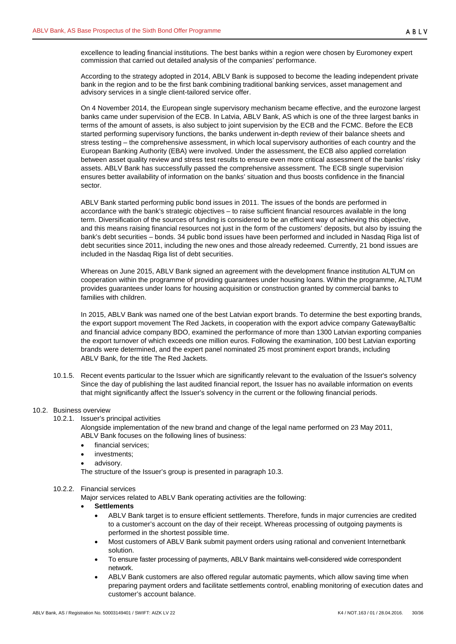excellence to leading financial institutions. The best banks within a region were chosen by Euromoney expert commission that carried out detailed analysis of the companies' performance.

According to the strategy adopted in 2014, ABLV Bank is supposed to become the leading independent private bank in the region and to be the first bank combining traditional banking services, asset management and advisory services in a single client-tailored service offer.

On 4 November 2014, the European single supervisory mechanism became effective, and the eurozone largest banks came under supervision of the ECB. In Latvia, ABLV Bank, AS which is one of the three largest banks in terms of the amount of assets, is also subject to joint supervision by the ECB and the FCMC. Before the ECB started performing supervisory functions, the banks underwent in-depth review of their balance sheets and stress testing – the comprehensive assessment, in which local supervisory authorities of each country and the European Banking Authority (EBA) were involved. Under the assessment, the ECB also applied correlation between asset quality review and stress test results to ensure even more critical assessment of the banks' risky assets. ABLV Bank has successfully passed the comprehensive assessment. The ECB single supervision ensures better availability of information on the banks' situation and thus boosts confidence in the financial sector.

ABLV Bank started performing public bond issues in 2011. The issues of the bonds are performed in accordance with the bank's strategic objectives – to raise sufficient financial resources available in the long term. Diversification of the sources of funding is considered to be an efficient way of achieving this objective, and this means raising financial resources not just in the form of the customers' deposits, but also by issuing the bank's debt securities – bonds. 34 public bond issues have been performed and included in Nasdaq Riga list of debt securities since 2011, including the new ones and those already redeemed. Currently, 21 bond issues are included in the Nasdaq Riga list of debt securities.

Whereas on June 2015, ABLV Bank signed an agreement with the development finance institution ALTUM on cooperation within the programme of providing guarantees under housing loans. Within the programme, ALTUM provides guarantees under loans for housing acquisition or construction granted by commercial banks to families with children.

In 2015, ABLV Bank was named one of the best Latvian export brands. To determine the best exporting brands, the export support movement The Red Jackets, in cooperation with the export advice company GatewayBaltic and financial advice company BDO, examined the performance of more than 1300 Latvian exporting companies the export turnover of which exceeds one million euros. Following the examination, 100 best Latvian exporting brands were determined, and the expert panel nominated 25 most prominent export brands, including ABLV Bank, for the title The Red Jackets.

<span id="page-29-0"></span>10.1.5. Recent events particular to the Issuer which are significantly relevant to the evaluation of the Issuer's solvency Since the day of publishing the last audited financial report, the Issuer has no available information on events that might significantly affect the Issuer's solvency in the current or the following financial periods.

## <span id="page-29-2"></span><span id="page-29-1"></span>10.2. Business overview

10.2.1. Issuer's principal activities

Alongside implementation of the new brand and change of the legal name performed on 23 May 2011, ABLV Bank focuses on the following lines of business:

- financial services:
- investments;
- advisory.

The structure of the Issuer's group is presented in paragraph [10.3.](#page-31-2)

## <span id="page-29-3"></span>10.2.2. Financial services

Major services related to ABLV Bank operating activities are the following:

- **Settlements**
	- ABLV Bank target is to ensure efficient settlements. Therefore, funds in major currencies are credited to a customer's account on the day of their receipt. Whereas processing of outgoing payments is performed in the shortest possible time.
	- Most customers of ABLV Bank submit payment orders using rational and convenient Internetbank solution.
	- To ensure faster processing of payments, ABLV Bank maintains well-considered wide correspondent network.
	- ABLV Bank customers are also offered regular automatic payments, which allow saving time when preparing payment orders and facilitate settlements control, enabling monitoring of execution dates and customer's account balance.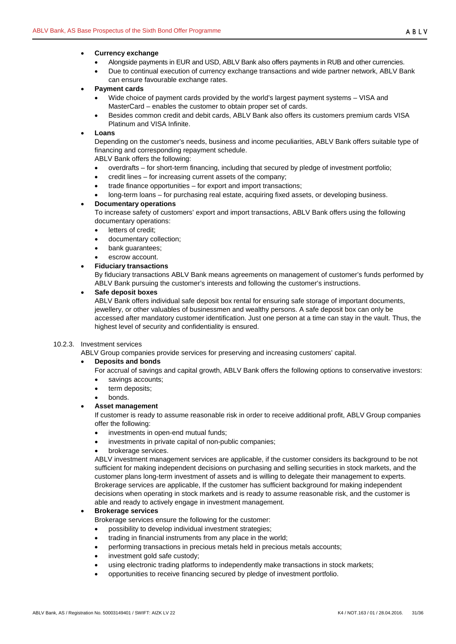# • **Currency exchange**

- Alongside payments in EUR and USD, ABLV Bank also offers payments in RUB and other currencies.
- Due to continual execution of currency exchange transactions and wide partner network, ABLV Bank can ensure favourable exchange rates.
- **Payment cards**
	- Wide choice of payment cards provided by the world's largest payment systems VISA and MasterCard – enables the customer to obtain proper set of cards.
	- Besides common credit and debit cards, ABLV Bank also offers its customers premium cards VISA Platinum and VISA Infinite.

# • **Loans**

Depending on the customer's needs, business and income peculiarities, ABLV Bank offers suitable type of financing and corresponding repayment schedule.

ABLV Bank offers the following:

- overdrafts for short-term financing, including that secured by pledge of investment portfolio;
- credit lines for increasing current assets of the company;
- trade finance opportunities for export and import transactions;
- long-term loans for purchasing real estate, acquiring fixed assets, or developing business.

# • **Documentary operations**

To increase safety of customers' export and import transactions, ABLV Bank offers using the following documentary operations:

- letters of credit;
- documentary collection;
- bank guarantees;
- escrow account.

# • **Fiduciary transactions**

By fiduciary transactions ABLV Bank means agreements on management of customer's funds performed by ABLV Bank pursuing the customer's interests and following the customer's instructions.

# • **Safe deposit boxes**

ABLV Bank offers individual safe deposit box rental for ensuring safe storage of important documents, jewellery, or other valuables of businessmen and wealthy persons. A safe deposit box can only be accessed after mandatory customer identification. Just one person at a time can stay in the vault. Thus, the highest level of security and confidentiality is ensured.

## <span id="page-30-0"></span>10.2.3. Investment services

ABLV Group companies provide services for preserving and increasing customers' capital.

# • **Deposits and bonds**

For accrual of savings and capital growth, ABLV Bank offers the following options to conservative investors:

- savings accounts;
- term deposits;
- bonds.

# • **Asset management**

If customer is ready to assume reasonable risk in order to receive additional profit, ABLV Group companies offer the following:

- investments in open-end mutual funds;
- investments in private capital of non-public companies:
- brokerage services.

ABLV investment management services are applicable, if the customer considers its background to be not sufficient for making independent decisions on purchasing and selling securities in stock markets, and the customer plans long-term investment of assets and is willing to delegate their management to experts. Brokerage services are applicable, If the customer has sufficient background for making independent decisions when operating in stock markets and is ready to assume reasonable risk, and the customer is able and ready to actively engage in investment management.

## • **Brokerage services**

Brokerage services ensure the following for the customer:

- possibility to develop individual investment strategies;
- trading in financial instruments from any place in the world;
- performing transactions in precious metals held in precious metals accounts;
- investment gold safe custody;
- using electronic trading platforms to independently make transactions in stock markets;
- opportunities to receive financing secured by pledge of investment portfolio.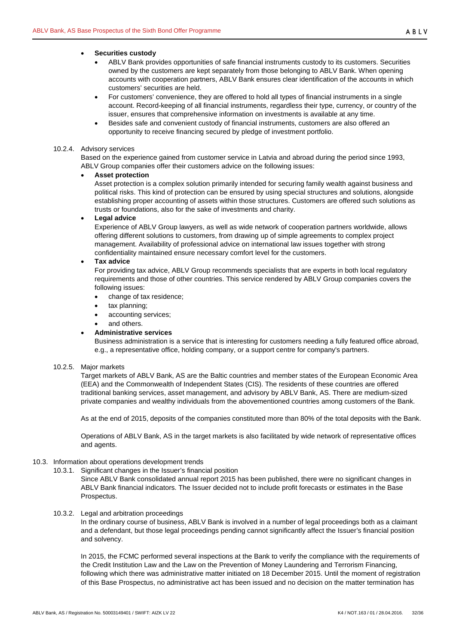## • **Securities custody**

- ABLV Bank provides opportunities of safe financial instruments custody to its customers. Securities owned by the customers are kept separately from those belonging to ABLV Bank. When opening accounts with cooperation partners, ABLV Bank ensures clear identification of the accounts in which customers' securities are held.
- For customers' convenience, they are offered to hold all types of financial instruments in a single account. Record-keeping of all financial instruments, regardless their type, currency, or country of the issuer, ensures that comprehensive information on investments is available at any time.
- Besides safe and convenient custody of financial instruments, customers are also offered an opportunity to receive financing secured by pledge of investment portfolio.

#### <span id="page-31-0"></span>10.2.4. Advisory services

Based on the experience gained from customer service in Latvia and abroad during the period since 1993, ABLV Group companies offer their customers advice on the following issues:

## • **Asset protection**

Asset protection is a complex solution primarily intended for securing family wealth against business and political risks. This kind of protection can be ensured by using special structures and solutions, alongside establishing proper accounting of assets within those structures. Customers are offered such solutions as trusts or foundations, also for the sake of investments and charity.

## • **Legal advice**

Experience of ABLV Group lawyers, as well as wide network of cooperation partners worldwide, allows offering different solutions to customers, from drawing up of simple agreements to complex project management. Availability of professional advice on international law issues together with strong confidentiality maintained ensure necessary comfort level for the customers.

## • **Tax advice**

For providing tax advice, ABLV Group recommends specialists that are experts in both local regulatory requirements and those of other countries. This service rendered by ABLV Group companies covers the following issues:

- change of tax residence;
- tax planning;
- accounting services;
- and others.

## • **Administrative services**

Business administration is a service that is interesting for customers needing a fully featured office abroad, e.g., a representative office, holding company, or a support centre for company's partners.

## <span id="page-31-1"></span>10.2.5. Major markets

Target markets of ABLV Bank, AS are the Baltic countries and member states of the European Economic Area (EEA) and the Commonwealth of Independent States (CIS). The residents of these countries are offered traditional banking services, asset management, and advisory by ABLV Bank, AS. There are medium-sized private companies and wealthy individuals from the abovementioned countries among customers of the Bank.

As at the end of 2015, deposits of the companies constituted more than 80% of the total deposits with the Bank.

Operations of ABLV Bank, AS in the target markets is also facilitated by wide network of representative offices and agents.

# <span id="page-31-3"></span><span id="page-31-2"></span>10.3. Information about operations development trends

10.3.1. Significant changes in the Issuer's financial position

Since ABLV Bank consolidated annual report 2015 has been published, there were no significant changes in ABLV Bank financial indicators. The Issuer decided not to include profit forecasts or estimates in the Base Prospectus.

## <span id="page-31-4"></span>10.3.2. Legal and arbitration proceedings

In the ordinary course of business, ABLV Bank is involved in a number of legal proceedings both as a claimant and a defendant, but those legal proceedings pending cannot significantly affect the Issuer's financial position and solvency.

In 2015, the FCMC performed several inspections at the Bank to verify the compliance with the requirements of the Credit Institution Law and the Law on the Prevention of Money Laundering and Terrorism Financing, following which there was administrative matter initiated on 18 December 2015. Until the moment of registration of this Base Prospectus, no administrative act has been issued and no decision on the matter termination has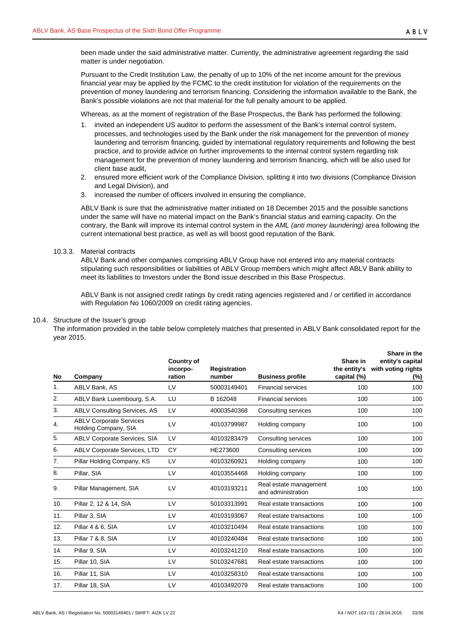been made under the said administrative matter. Currently, the administrative agreement regarding the said matter is under negotiation.

Pursuant to the Credit Institution Law, the penalty of up to 10% of the net income amount for the previous financial year may be applied by the FCMC to the credit institution for violation of the requirements on the prevention of money laundering and terrorism financing. Considering the information available to the Bank, the Bank's possible violations are not that material for the full penalty amount to be applied.

Whereas, as at the moment of registration of the Base Prospectus, the Bank has performed the following:

- 1. invited an independent US auditor to perform the assessment of the Bank's internal control system, processes, and technologies used by the Bank under the risk management for the prevention of money laundering and terrorism financing, guided by international regulatory requirements and following the best practice, and to provide advice on further improvements to the internal control system regarding risk management for the prevention of money laundering and terrorism financing, which will be also used for client base audit,
- 2. ensured more efficient work of the Compliance Division, splitting it into two divisions (Compliance Division and Legal Division), and
- 3. increased the number of officers involved in ensuring the compliance,

ABLV Bank is sure that the administrative matter initiated on 18 December 2015 and the possible sanctions under the same will have no material impact on the Bank's financial status and earning capacity. On the contrary, the Bank will improve its internal control system in the *AML (anti money laundering)* area following the current international best practice, as well as will boost good reputation of the Bank.

## <span id="page-32-0"></span>10.3.3. Material contracts

ABLV Bank and other companies comprising ABLV Group have not entered into any material contracts stipulating such responsibilities or liabilities of ABLV Group members which might affect ABLV Bank ability to meet its liabilities to Investors under the Bond issue described in this Base Prospectus.

ABLV Bank is not assigned credit ratings by credit rating agencies registered and / or certified in accordance with Regulation No 1060/2009 on credit rating agencies.

#### <span id="page-32-1"></span>10.4. Structure of the Issuer's group

The information provided in the table below completely matches that presented in ABLV Bank consolidated report for the year 2015.

| <b>No</b> | Company                                                | <b>Country of</b><br>incorpo-<br>ration | <b>Registration</b><br>number | <b>Business profile</b>                      | Share in<br>the entity's<br>capital (%) | Share in the<br>entity's capital<br>with voting rights<br>(%) |
|-----------|--------------------------------------------------------|-----------------------------------------|-------------------------------|----------------------------------------------|-----------------------------------------|---------------------------------------------------------------|
| 1.        | ABLV Bank, AS                                          | LV                                      | 50003149401                   | <b>Financial services</b>                    | 100                                     | 100                                                           |
| 2.        | ABLV Bank Luxembourg, S.A.                             | LU                                      | B 162048                      | <b>Financial services</b>                    | 100                                     | 100                                                           |
| 3.        | <b>ABLV Consulting Services, AS</b>                    | LV                                      | 40003540368                   | Consulting services                          | 100                                     | 100                                                           |
| 4.        | <b>ABLV Corporate Services</b><br>Holding Company, SIA | LV                                      | 40103799987                   | Holding company                              | 100                                     | 100                                                           |
| 5.        | <b>ABLV Corporate Services, SIA</b>                    | LV                                      | 40103283479                   | Consulting services                          | 100                                     | 100                                                           |
| 6.        | <b>ABLV Corporate Services, LTD</b>                    | CY                                      | HE273600                      | Consulting services                          | 100                                     | 100                                                           |
| 7.        | Pillar Holding Company, KS                             | LV                                      | 40103260921                   | Holding company                              | 100                                     | 100                                                           |
| 8.        | Pillar, SIA                                            | LV                                      | 40103554468                   | Holding company                              | 100                                     | 100                                                           |
| 9.        | Pillar Management, SIA                                 | LV                                      | 40103193211                   | Real estate management<br>and administration | 100                                     | 100                                                           |
| 10.       | Pillar 2, 12 & 14, SIA                                 | LV                                      | 50103313991                   | Real estate transactions                     | 100                                     | 100                                                           |
| 11.       | Pillar 3, SIA                                          | LV                                      | 40103193067                   | Real estate transactions                     | 100                                     | 100                                                           |
| 12.       | Pillar 4 & 6, SIA                                      | LV                                      | 40103210494                   | Real estate transactions                     | 100                                     | 100                                                           |
| 13.       | Pillar 7 & 8, SIA                                      | LV                                      | 40103240484                   | Real estate transactions                     | 100                                     | 100                                                           |
| 14.       | Pillar 9, SIA                                          | LV                                      | 40103241210                   | Real estate transactions                     | 100                                     | 100                                                           |
| 15.       | Pillar 10, SIA                                         | LV                                      | 50103247681                   | Real estate transactions                     | 100                                     | 100                                                           |
| 16.       | Pillar 11, SIA                                         | LV                                      | 40103258310                   | Real estate transactions                     | 100                                     | 100                                                           |
| 17.       | Pillar 18, SIA                                         | LV                                      | 40103492079                   | Real estate transactions                     | 100                                     | 100                                                           |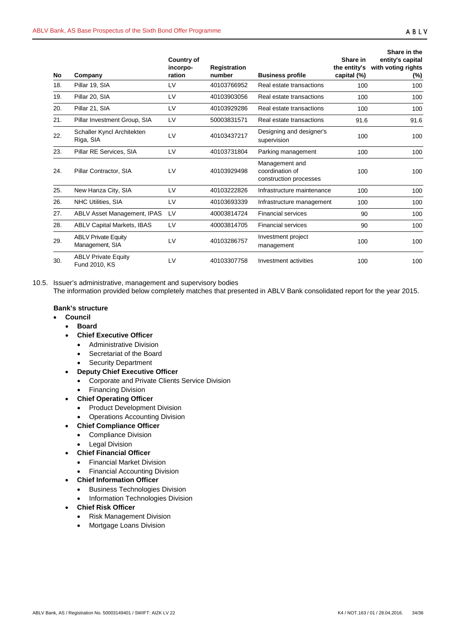| No  | Company                                       | <b>Country of</b><br>incorpo-<br>ration | <b>Registration</b><br>number | <b>Business profile</b>                                     | Share in<br>the entity's<br>capital (%) | Share in the<br>entity's capital<br>with voting rights<br>$(\%)$ |
|-----|-----------------------------------------------|-----------------------------------------|-------------------------------|-------------------------------------------------------------|-----------------------------------------|------------------------------------------------------------------|
| 18. | Pillar 19, SIA                                | LV                                      | 40103766952                   | Real estate transactions                                    | 100                                     | 100                                                              |
| 19. | Pillar 20, SIA                                | LV                                      | 40103903056                   | Real estate transactions                                    | 100                                     | 100                                                              |
| 20. | Pillar 21, SIA                                | LV                                      | 40103929286                   | Real estate transactions                                    | 100                                     | 100                                                              |
| 21. | Pillar Investment Group, SIA                  | LV                                      | 50003831571                   | Real estate transactions                                    | 91.6                                    | 91.6                                                             |
| 22. | Schaller Kyncl Architekten<br>Riga, SIA       | LV                                      | 40103437217                   | Designing and designer's<br>supervision                     | 100                                     | 100                                                              |
| 23. | Pillar RE Services, SIA                       | LV                                      | 40103731804                   | Parking management                                          | 100                                     | 100                                                              |
| 24. | Pillar Contractor, SIA                        | LV                                      | 40103929498                   | Management and<br>coordination of<br>construction processes | 100                                     | 100                                                              |
| 25. | New Hanza City, SIA                           | LV                                      | 40103222826                   | Infrastructure maintenance                                  | 100                                     | 100                                                              |
| 26. | <b>NHC Utilities, SIA</b>                     | LV                                      | 40103693339                   | Infrastructure management                                   | 100                                     | 100                                                              |
| 27. | ABLV Asset Management, IPAS                   | LV                                      | 40003814724                   | <b>Financial services</b>                                   | 90                                      | 100                                                              |
| 28. | <b>ABLV Capital Markets, IBAS</b>             | LV                                      | 40003814705                   | <b>Financial services</b>                                   | 90                                      | 100                                                              |
| 29. | <b>ABLV Private Equity</b><br>Management, SIA | LV                                      | 40103286757                   | Investment project<br>management                            | 100                                     | 100                                                              |
| 30. | <b>ABLV Private Equity</b><br>Fund 2010, KS   | LV                                      | 40103307758                   | Investment activities                                       | 100                                     | 100                                                              |

<span id="page-33-0"></span>10.5. Issuer's administrative, management and supervisory bodies The information provided below completely matches that presented in ABLV Bank consolidated report for the year 2015.

# **Bank's structure**

- **Council**
	- **Board**
	- **Chief Executive Officer**
		- Administrative Division
		- Secretariat of the Board
		- Security Department
	- **Deputy Chief Executive Officer**
		- Corporate and Private Clients Service Division
		- Financing Division
	- **Chief Operating Officer**
		- Product Development Division
		- Operations Accounting Division
	- **Chief Compliance Officer**
		- Compliance Division
		- **Legal Division**
	- **Chief Financial Officer**
		- Financial Market Division
		- Financial Accounting Division
	- **Chief Information Officer**
		- Business Technologies Division
		- Information Technologies Division
	- **Chief Risk Officer**
		- Risk Management Division
		- Mortgage Loans Division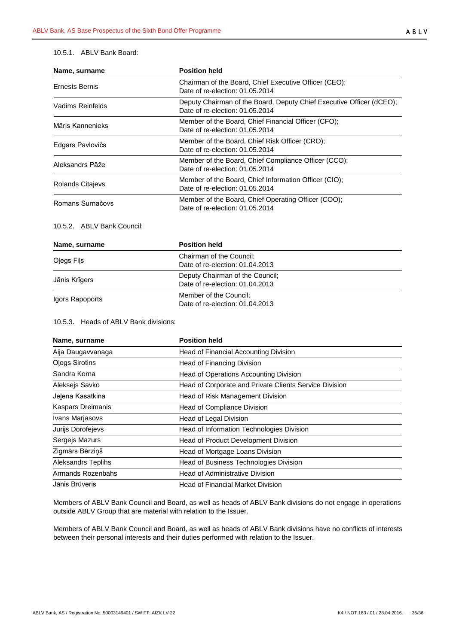## <span id="page-34-0"></span>10.5.1. ABLV Bank Board:

| Name, surname           | <b>Position held</b>                                                                                    |  |  |
|-------------------------|---------------------------------------------------------------------------------------------------------|--|--|
| Ernests Bernis          | Chairman of the Board, Chief Executive Officer (CEO);<br>Date of re-election: 01.05.2014                |  |  |
| Vadims Reinfelds        | Deputy Chairman of the Board, Deputy Chief Executive Officer (dCEO);<br>Date of re-election: 01.05.2014 |  |  |
| Māris Kannenieks        | Member of the Board, Chief Financial Officer (CFO);<br>Date of re-election: 01.05.2014                  |  |  |
| Edgars Pavlovičs        | Member of the Board, Chief Risk Officer (CRO);<br>Date of re-election: 01.05.2014                       |  |  |
| Aleksandrs Pāže         | Member of the Board, Chief Compliance Officer (CCO);<br>Date of re-election: 01.05.2014                 |  |  |
| <b>Rolands Citajevs</b> | Member of the Board, Chief Information Officer (CIO);<br>Date of re-election: 01.05.2014                |  |  |
| Romans Surnačovs        | Member of the Board, Chief Operating Officer (COO);<br>Date of re-election: 01.05.2014                  |  |  |

# <span id="page-34-1"></span>10.5.2. ABLV Bank Council:

| Name, surname   | <b>Position held</b>                                               |  |  |
|-----------------|--------------------------------------------------------------------|--|--|
| Olegs Fils      | Chairman of the Council;<br>Date of re-election: 01.04.2013        |  |  |
| Jānis Krīgers   | Deputy Chairman of the Council;<br>Date of re-election: 01.04.2013 |  |  |
| Igors Rapoports | Member of the Council;<br>Date of re-election: 01.04.2013          |  |  |

## <span id="page-34-2"></span>10.5.3. Heads of ABLV Bank divisions:

| Name, surname      | <b>Position held</b>                                   |  |  |
|--------------------|--------------------------------------------------------|--|--|
| Aija Daugavvanaga  | Head of Financial Accounting Division                  |  |  |
| Olegs Sirotins     | Head of Financing Division                             |  |  |
| Sandra Korna       | Head of Operations Accounting Division                 |  |  |
| Aleksejs Savko     | Head of Corporate and Private Clients Service Division |  |  |
| Jelena Kasatkina   | Head of Risk Management Division                       |  |  |
| Kaspars Dreimanis  | Head of Compliance Division                            |  |  |
| Ivans Marjasovs    | Head of Legal Division                                 |  |  |
| Jurijs Dorofejevs  | Head of Information Technologies Division              |  |  |
| Sergejs Mazurs     | <b>Head of Product Development Division</b>            |  |  |
| Zigmārs Bērziņš    | Head of Mortgage Loans Division                        |  |  |
| Aleksandrs Teplihs | Head of Business Technologies Division                 |  |  |
| Armands Rozenbahs  | <b>Head of Administrative Division</b>                 |  |  |
| Jānis Brūveris     | <b>Head of Financial Market Division</b>               |  |  |

Members of ABLV Bank Council and Board, as well as heads of ABLV Bank divisions do not engage in operations outside ABLV Group that are material with relation to the Issuer.

Members of ABLV Bank Council and Board, as well as heads of ABLV Bank divisions have no conflicts of interests between their personal interests and their duties performed with relation to the Issuer.